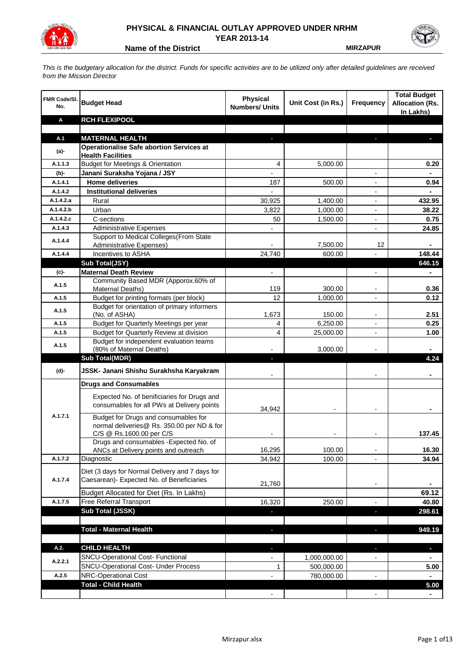

## **PHYSICAL & FINANCIAL OUTLAY APPROVED UNDER NRHM YEAR 2013-14**

**Name of the District MIRZAPUR** 

*This is the budgetary allocation for the district. Funds for specific activities are to be utilized only after detailed guidelines are received from the Mission Director*

| FMR Code/SI.<br>No. | <b>Budget Head</b>                                                                                             | <b>Physical</b><br><b>Numbers/ Units</b> | Unit Cost (in Rs.) | <b>Frequency</b>         | <b>Total Budget</b><br><b>Allocation (Rs.</b><br>In Lakhs) |
|---------------------|----------------------------------------------------------------------------------------------------------------|------------------------------------------|--------------------|--------------------------|------------------------------------------------------------|
| Α                   | <b>RCH FLEXIPOOL</b>                                                                                           |                                          |                    |                          |                                                            |
|                     |                                                                                                                |                                          |                    |                          |                                                            |
| A.1                 | <b>MATERNAL HEALTH</b>                                                                                         |                                          |                    |                          |                                                            |
| $(a)$ -             | <b>Operationalise Safe abortion Services at</b><br><b>Health Facilities</b>                                    |                                          |                    |                          |                                                            |
| A.1.1.3             | <b>Budget for Meetings &amp; Orientation</b>                                                                   | 4                                        | 5,000.00           |                          | 0.20                                                       |
| (b)-                | Janani Suraksha Yojana / JSY                                                                                   |                                          |                    |                          |                                                            |
| A.1.4.1             | <b>Home deliveries</b>                                                                                         | 187                                      | 500.00             |                          | 0.94                                                       |
| A.1.4.2             | <b>Institutional deliveries</b>                                                                                |                                          |                    |                          |                                                            |
| A.1.4.2.a           | Rural                                                                                                          | 30,925                                   | 1,400.00           |                          | 432.95                                                     |
| A.1.4.2.b           | Urban                                                                                                          | 3,822                                    | 1,000.00           |                          | 38.22                                                      |
| A.1.4.2.c           | C-sections                                                                                                     | 50                                       | 1,500.00           |                          | 0.75                                                       |
| A.1.4.3             | <b>Administrative Expenses</b>                                                                                 |                                          |                    | $\overline{a}$           | 24.85                                                      |
|                     | Support to Medical Colleges (From State                                                                        |                                          |                    |                          |                                                            |
| A.1.4.4             | <b>Administrative Expenses)</b>                                                                                |                                          | 7,500.00           | 12                       |                                                            |
| A.1.4.4             | Incentives to ASHA                                                                                             | 24,740                                   | 600.00             |                          | 148.44                                                     |
|                     | Sub Total(JSY)                                                                                                 |                                          |                    |                          | 646.15                                                     |
| (c)-                | <b>Maternal Death Review</b>                                                                                   | $\overline{\phantom{a}}$                 |                    | $\overline{\phantom{a}}$ | $\blacksquare$                                             |
| A.1.5               | Community Based MDR (Apporox.60% of                                                                            |                                          |                    |                          |                                                            |
|                     | Maternal Deaths)                                                                                               | 119                                      | 300.00             | $\blacksquare$           | 0.36                                                       |
| A.1.5               | Budget for printing formats (per block)                                                                        | 12                                       | 1,000.00           |                          | 0.12                                                       |
| A.1.5               | Budget for orientation of primary informers<br>(No. of ASHA)                                                   | 1,673                                    | 150.00             | $\overline{\phantom{a}}$ | 2.51                                                       |
| A.1.5               | Budget for Quarterly Meetings per year                                                                         | 4                                        | 6,250.00           |                          | 0.25                                                       |
| A.1.5               | Budget for Quarterly Review at division                                                                        | 4                                        | 25,000.00          |                          | 1.00                                                       |
|                     | Budget for independent evaluation teams                                                                        |                                          |                    |                          |                                                            |
| A.1.5               | (80% of Maternal Deaths)                                                                                       |                                          | 3,000.00           |                          |                                                            |
|                     | <b>Sub Total(MDR)</b>                                                                                          | L.                                       |                    |                          | 4.24                                                       |
| (d)-                | JSSK- Janani Shishu Surakhsha Karyakram                                                                        |                                          |                    |                          |                                                            |
|                     | <b>Drugs and Consumables</b>                                                                                   |                                          |                    |                          |                                                            |
|                     | Expected No. of benificiaries for Drugs and<br>consumables for all PWs at Delivery points                      | 34,942                                   |                    |                          |                                                            |
| A.1.7.1             | Budget for Drugs and consumables for<br>normal deliveries@ Rs. 350.00 per ND & for<br>C/S @ Rs.1600.00 per C/S |                                          |                    |                          | 137.45                                                     |
|                     | Drugs and consumables - Expected No. of                                                                        |                                          |                    |                          |                                                            |
|                     | ANCs at Delivery points and outreach                                                                           | 16,295                                   | 100.00             |                          | 16.30                                                      |
| A.1.7.2             | Diagnostic                                                                                                     | 34,942                                   | 100.00             |                          | 34.94                                                      |
| A.1.7.4             | Diet (3 days for Normal Delivery and 7 days for<br>Caesarean)- Expected No. of Beneficiaries                   | 21,760                                   |                    | $\overline{\phantom{a}}$ |                                                            |
|                     | Budget Allocated for Diet (Rs. In Lakhs)                                                                       |                                          |                    |                          | 69.12                                                      |
| A.1.7.5             | Free Referral Transport                                                                                        | 16,320                                   | 250.00             | ٠                        | 40.80                                                      |
|                     | <b>Sub Total (JSSK)</b>                                                                                        |                                          |                    | ÷.                       | 298.61                                                     |
|                     |                                                                                                                |                                          |                    |                          |                                                            |
|                     | <b>Total - Maternal Health</b>                                                                                 | J,                                       |                    | b.                       | 949.19                                                     |
| A.2.                | <b>CHILD HEALTH</b>                                                                                            |                                          |                    |                          | ٠                                                          |
|                     | SNCU-Operational Cost- Functional                                                                              |                                          | 1,000,000.00       |                          |                                                            |
| A.2.2.1             | SNCU-Operational Cost- Under Process                                                                           | 1                                        | 500,000.00         |                          | 5.00                                                       |
| A.2.5               | NRC-Operational Cost                                                                                           |                                          | 780,000.00         |                          |                                                            |
|                     | <b>Total - Child Health</b>                                                                                    |                                          |                    |                          | 5.00                                                       |
|                     |                                                                                                                |                                          |                    |                          |                                                            |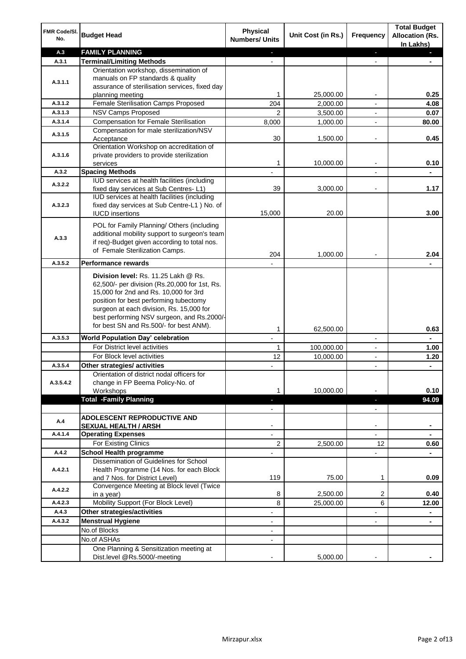| FMR Code/SI.<br>No.  | <b>Budget Head</b>                                                                                                                                                                                                                                                 | Physical<br><b>Numbers/ Units</b>                    | Unit Cost (in Rs.) | <b>Frequency</b>              | <b>Total Budget</b><br><b>Allocation (Rs.</b><br>In Lakhs) |
|----------------------|--------------------------------------------------------------------------------------------------------------------------------------------------------------------------------------------------------------------------------------------------------------------|------------------------------------------------------|--------------------|-------------------------------|------------------------------------------------------------|
| A.3                  | <b>FAMILY PLANNING</b>                                                                                                                                                                                                                                             | $\sim$                                               |                    | $\blacksquare$                | $\sim$                                                     |
| A.3.1                | <b>Terminal/Limiting Methods</b>                                                                                                                                                                                                                                   |                                                      |                    |                               |                                                            |
| A.3.1.1              | Orientation workshop, dissemination of<br>manuals on FP standards & quality<br>assurance of sterilisation services, fixed day<br>planning meeting                                                                                                                  | 1                                                    | 25,000.00          | $\overline{\phantom{a}}$      | 0.25                                                       |
| A.3.1.2              | Female Sterilisation Camps Proposed                                                                                                                                                                                                                                | 204                                                  | 2,000.00           |                               | 4.08                                                       |
| A.3.1.3              | <b>NSV Camps Proposed</b>                                                                                                                                                                                                                                          | $\overline{2}$                                       | 3,500.00           |                               | 0.07                                                       |
| A.3.1.4              | <b>Compensation for Female Sterilisation</b>                                                                                                                                                                                                                       | 8,000                                                | 1,000.00           | $\overline{\phantom{a}}$      | 80.00                                                      |
| A.3.1.5              | Compensation for male sterilization/NSV<br>Acceptance                                                                                                                                                                                                              | 30                                                   | 1,500.00           |                               | 0.45                                                       |
| A.3.1.6              | Orientation Workshop on accreditation of<br>private providers to provide sterilization<br>services                                                                                                                                                                 | 1                                                    | 10,000.00          | $\blacksquare$                | 0.10                                                       |
| A.3.2                | <b>Spacing Methods</b>                                                                                                                                                                                                                                             |                                                      |                    |                               | ٠                                                          |
| A.3.2.2              | IUD services at health facilities (including                                                                                                                                                                                                                       |                                                      |                    |                               |                                                            |
| A.3.2.3              | fixed day services at Sub Centres-L1)<br>IUD services at health facilities (including<br>fixed day services at Sub Centre-L1 ) No. of                                                                                                                              | 39                                                   | 3,000.00           | $\overline{\phantom{a}}$      | 1.17                                                       |
|                      | <b>IUCD</b> insertions                                                                                                                                                                                                                                             | 15,000                                               | 20.00              |                               | 3.00                                                       |
| A.3.3                | POL for Family Planning/ Others (including<br>additional mobility support to surgeon's team<br>if req)-Budget given according to total nos.<br>of Female Sterilization Camps.                                                                                      | 204                                                  | 1,000.00           |                               | 2.04                                                       |
| A.3.5.2              | <b>Performance rewards</b>                                                                                                                                                                                                                                         |                                                      |                    |                               |                                                            |
|                      | Division level: Rs. 11.25 Lakh @ Rs.<br>62,500/- per division (Rs.20,000 for 1st, Rs.<br>15,000 for 2nd and Rs. 10,000 for 3rd<br>position for best performing tubectomy<br>surgeon at each division, Rs. 15,000 for<br>best performing NSV surgeon, and Rs.2000/- |                                                      |                    |                               |                                                            |
|                      | for best SN and Rs.500/- for best ANM).                                                                                                                                                                                                                            | 1                                                    | 62,500.00          |                               | 0.63                                                       |
| A.3.5.3              | World Population Day' celebration                                                                                                                                                                                                                                  |                                                      |                    |                               |                                                            |
|                      | For District level activities                                                                                                                                                                                                                                      | 1                                                    | 100,000.00         |                               | 1.00                                                       |
|                      | For Block level activities                                                                                                                                                                                                                                         | 12                                                   | 10,000.00          | $\blacksquare$                | 1.20                                                       |
| A.3.5.4<br>A.3.5.4.2 | Other strategies/ activities<br>Orientation of district nodal officers for<br>change in FP Beema Policy-No. of<br>Workshops                                                                                                                                        | 1                                                    | 10,000.00          |                               | 0.10                                                       |
|                      | <b>Total -Family Planning</b>                                                                                                                                                                                                                                      | $\overline{\phantom{a}}$<br>$\overline{\phantom{a}}$ |                    | ٠<br>$\overline{\phantom{a}}$ | 94.09                                                      |
| A.4                  | ADOLESCENT REPRODUCTIVE AND<br><b>SEXUAL HEALTH / ARSH</b>                                                                                                                                                                                                         |                                                      |                    | $\blacksquare$                |                                                            |
| A.4.1.4              | <b>Operating Expenses</b>                                                                                                                                                                                                                                          |                                                      |                    |                               |                                                            |
|                      | For Existing Clinics                                                                                                                                                                                                                                               | 2                                                    | 2,500.00           | 12                            | 0.60                                                       |
| A.4.2                | <b>School Health programme</b>                                                                                                                                                                                                                                     |                                                      |                    | $\overline{a}$                |                                                            |
| A.4.2.1              | Dissemination of Guidelines for School<br>Health Programme (14 Nos. for each Block<br>and 7 Nos. for District Level)                                                                                                                                               | 119                                                  | 75.00              | 1                             | 0.09                                                       |
| A.4.2.2              | Convergence Meeting at Block level (Twice<br>in a year)                                                                                                                                                                                                            | 8                                                    | 2,500.00           | 2                             | 0.40                                                       |
| A.4.2.3              | Mobility Support (For Block Level)                                                                                                                                                                                                                                 | 8                                                    | 25,000.00          | 6                             | 12.00                                                      |
| A.4.3                | Other strategies/activities                                                                                                                                                                                                                                        | $\overline{\phantom{a}}$                             |                    | -                             | ۰                                                          |
| A.4.3.2              | <b>Menstrual Hygiene</b>                                                                                                                                                                                                                                           | $\overline{\phantom{a}}$                             |                    | ٠                             | ۰                                                          |
|                      | No.of Blocks                                                                                                                                                                                                                                                       | $\overline{\phantom{a}}$                             |                    |                               |                                                            |
|                      | No.of ASHAs                                                                                                                                                                                                                                                        | $\overline{\phantom{a}}$                             |                    |                               |                                                            |
|                      | One Planning & Sensitization meeting at<br>Dist.level @Rs.5000/-meeting                                                                                                                                                                                            |                                                      | 5,000.00           |                               |                                                            |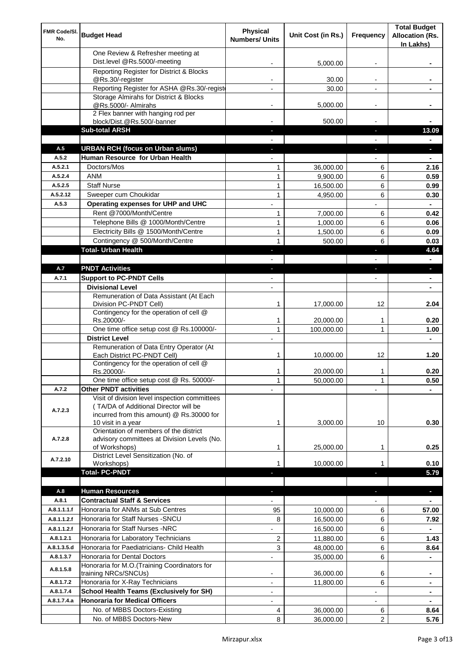| FMR Code/SI.<br>No.  | <b>Budget Head</b>                                                                                                                                        | Physical<br><b>Numbers/ Units</b> | Unit Cost (in Rs.)     | Frequency                | <b>Total Budget</b><br><b>Allocation (Rs.</b><br>In Lakhs) |
|----------------------|-----------------------------------------------------------------------------------------------------------------------------------------------------------|-----------------------------------|------------------------|--------------------------|------------------------------------------------------------|
|                      | One Review & Refresher meeting at<br>Dist.level @Rs.5000/-meeting                                                                                         |                                   | 5,000.00               |                          |                                                            |
|                      | Reporting Register for District & Blocks                                                                                                                  |                                   |                        |                          |                                                            |
|                      | @Rs.30/-register                                                                                                                                          |                                   | 30.00                  |                          |                                                            |
|                      | Reporting Register for ASHA @Rs.30/-regist                                                                                                                |                                   | 30.00                  |                          |                                                            |
|                      | Storage Almirahs for District & Blocks<br>@Rs.5000/- Almirahs                                                                                             | $\blacksquare$                    | 5,000.00               | $\overline{\phantom{a}}$ |                                                            |
|                      | 2 Flex banner with hanging rod per                                                                                                                        |                                   |                        |                          |                                                            |
|                      | block/Dist.@Rs.500/-banner                                                                                                                                |                                   | 500.00                 |                          |                                                            |
|                      | <b>Sub-total ARSH</b>                                                                                                                                     |                                   |                        | a,                       | 13.09                                                      |
| A.5                  | <b>URBAN RCH (focus on Urban slums)</b>                                                                                                                   |                                   |                        |                          |                                                            |
| A.5.2                | Human Resource for Urban Health                                                                                                                           |                                   |                        |                          |                                                            |
| A.5.2.1              | Doctors/Mos                                                                                                                                               | 1                                 | 36,000.00              | 6                        | 2.16                                                       |
| A.5.2.4<br>A.5.2.5   | <b>ANM</b><br><b>Staff Nurse</b>                                                                                                                          | $\mathbf{1}$<br>$\mathbf{1}$      | 9,900.00<br>16,500.00  | 6<br>6                   | 0.59<br>0.99                                               |
| A.5.2.12             | Sweeper cum Choukidar                                                                                                                                     | $\mathbf{1}$                      | 4,950.00               | 6                        | 0.30                                                       |
| A.5.3                | Operating expenses for UHP and UHC                                                                                                                        |                                   |                        |                          | $\blacksquare$                                             |
|                      | Rent @7000/Month/Centre                                                                                                                                   | 1                                 | 7,000.00               | 6                        | 0.42                                                       |
|                      | Telephone Bills @ 1000/Month/Centre                                                                                                                       | $\mathbf{1}$                      | 1,000.00               | 6                        | 0.06                                                       |
|                      | Electricity Bills @ 1500/Month/Centre                                                                                                                     | $\mathbf{1}$                      | 1,500.00               | 6                        | 0.09                                                       |
|                      | Contingency @ 500/Month/Centre                                                                                                                            | 1                                 | 500.00                 | 6                        | 0.03                                                       |
|                      | <b>Total- Urban Health</b>                                                                                                                                | ٠                                 |                        | ×                        | 4.64                                                       |
|                      |                                                                                                                                                           |                                   |                        |                          | $\blacksquare$                                             |
| A.7                  | <b>PNDT Activities</b>                                                                                                                                    | ٠                                 |                        | ×                        | ٠                                                          |
| A.7.1                | <b>Support to PC-PNDT Cells</b>                                                                                                                           |                                   |                        | $\blacksquare$           | $\blacksquare$                                             |
|                      | <b>Divisional Level</b><br>Remuneration of Data Assistant (At Each                                                                                        | $\blacksquare$                    |                        |                          |                                                            |
|                      | Division PC-PNDT Cell)                                                                                                                                    | 1                                 | 17,000.00              | 12                       | 2.04                                                       |
|                      | Contingency for the operation of cell @<br>Rs.20000/-                                                                                                     | 1                                 | 20,000.00              | 1                        | 0.20                                                       |
|                      | One time office setup cost @ Rs.100000/-                                                                                                                  | $\mathbf{1}$                      | 100,000.00             | 1                        | 1.00                                                       |
|                      | <b>District Level</b>                                                                                                                                     |                                   |                        |                          |                                                            |
|                      | Remuneration of Data Entry Operator (At<br>Each District PC-PNDT Cell)                                                                                    | 1                                 | 10,000.00              | 12                       | 1.20                                                       |
|                      | Contingency for the operation of cell @<br>Rs.20000/-                                                                                                     | 1                                 | 20,000.00              | 1                        | 0.20                                                       |
|                      | One time office setup cost @ Rs. 50000/-                                                                                                                  | $\mathbf{1}$                      | 50,000.00              | 1                        | 0.50                                                       |
| A.7.2                | <b>Other PNDT activities</b>                                                                                                                              |                                   |                        |                          |                                                            |
| A.7.2.3              | Visit of division level inspection committees<br>(TA/DA of Additional Director will be<br>incurred from this amount) @ Rs.30000 for<br>10 visit in a year | 1                                 | 3,000.00               | 10                       | 0.30                                                       |
| A.7.2.8              | Orientation of members of the district<br>advisory committees at Division Levels (No.<br>of Workshops)                                                    | 1                                 | 25,000.00              | 1                        | 0.25                                                       |
|                      | District Level Sensitization (No. of                                                                                                                      |                                   |                        |                          |                                                            |
| A.7.2.10             | Workshops)                                                                                                                                                | 1                                 | 10,000.00              |                          | 0.10                                                       |
|                      | <b>Total- PC-PNDT</b>                                                                                                                                     |                                   |                        |                          | 5.79                                                       |
|                      |                                                                                                                                                           |                                   |                        |                          |                                                            |
| A.8                  | <b>Human Resources</b>                                                                                                                                    |                                   |                        |                          | a,                                                         |
| A.8.1<br>A.8.1.1.1.f | <b>Contractual Staff &amp; Services</b><br>Honoraria for ANMs at Sub Centres                                                                              | 95                                |                        | 6                        | 57.00                                                      |
| A.8.1.1.2.f          | Honoraria for Staff Nurses - SNCU                                                                                                                         | 8                                 | 10,000.00<br>16,500.00 | 6                        | 7.92                                                       |
| A.8.1.1.2.f          | Honoraria for Staff Nurses -NRC                                                                                                                           |                                   | 16,500.00              | 6                        |                                                            |
| A.8.1.2.1            | Honoraria for Laboratory Technicians                                                                                                                      | 2                                 | 11,880.00              | 6                        | 1.43                                                       |
| A.8.1.3.5.d          | Honoraria for Paediatricians- Child Health                                                                                                                | 3                                 | 48,000.00              | 6                        | 8.64                                                       |
| A.8.1.3.7            | Honoraria for Dental Doctors                                                                                                                              | ÷,                                | 35,000.00              | 6                        |                                                            |
| A.8.1.5.8            | Honoraria for M.O. (Training Coordinators for<br>training NRCs/SNCUs)                                                                                     |                                   | 36,000.00              | 6                        |                                                            |
| A.8.1.7.2            | Honoraria for X-Ray Technicians                                                                                                                           |                                   | 11,800.00              | 6                        |                                                            |
| A.8.1.7.4            | <b>School Health Teams (Exclusively for SH)</b>                                                                                                           |                                   |                        |                          | ۰                                                          |
| A.8.1.7.4.a          | <b>Honoraria for Medical Officers</b>                                                                                                                     | $\overline{\phantom{a}}$          |                        |                          | ۰                                                          |
|                      | No. of MBBS Doctors-Existing                                                                                                                              | 4                                 | 36,000.00              | 6                        | 8.64                                                       |
|                      | No. of MBBS Doctors-New                                                                                                                                   | 8                                 | 36,000.00              | 2                        | 5.76                                                       |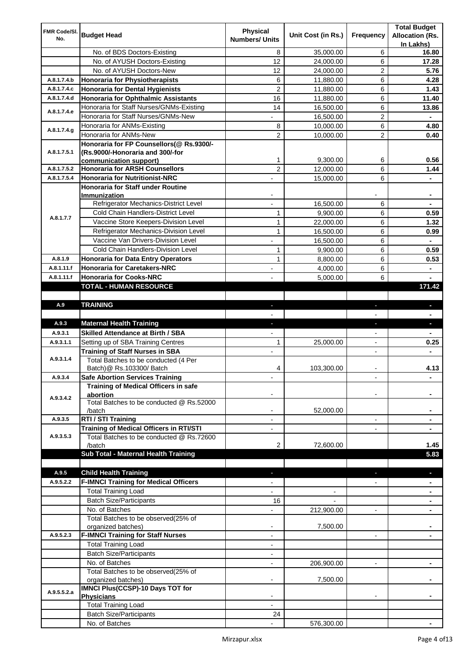| FMR Code/SI. |                                                  | <b>Physical</b>          |                    |                          | <b>Total Budget</b>    |
|--------------|--------------------------------------------------|--------------------------|--------------------|--------------------------|------------------------|
| No.          | <b>Budget Head</b>                               | <b>Numbers/ Units</b>    | Unit Cost (in Rs.) | Frequency                | <b>Allocation (Rs.</b> |
|              |                                                  |                          |                    |                          | In Lakhs)              |
|              | No. of BDS Doctors-Existing                      | 8                        | 35,000.00          | 6                        | 16.80                  |
|              | No. of AYUSH Doctors-Existing                    | 12                       | 24,000.00          | 6                        | 17.28                  |
|              | No. of AYUSH Doctors-New                         | 12                       | 24,000.00          | 2                        | 5.76                   |
| A.8.1.7.4.b  | <b>Honoraria for Physiotherapists</b>            | 6                        | 11,880.00          | 6                        | 4.28                   |
| A.8.1.7.4.c  | <b>Honoraria for Dental Hygienists</b>           | $\overline{c}$           | 11,880.00          | 6                        | 1.43                   |
| A.8.1.7.4.d  | <b>Honoraria for Ophthalmic Assistants</b>       | 16                       | 11,880.00          | 6                        | 11.40                  |
| A.8.1.7.4.e  | Honoraria for Staff Nurses/GNMs-Existing         | 14                       | 16,500.00          | 6                        | 13.86                  |
|              | Honoraria for Staff Nurses/GNMs-New              |                          | 16,500.00          | $\overline{c}$           |                        |
| A.8.1.7.4.g  | Honoraria for ANMs-Existing                      | 8                        | 10,000.00          | 6                        | 4.80                   |
|              | Honoraria for ANMs-New                           | 2                        | 10,000.00          | 2                        | 0.40                   |
|              | Honoraria for FP Counsellors(@ Rs.9300/-         |                          |                    |                          |                        |
| A.8.1.7.5.1  | (Rs.9000/-Honoraria and 300/-for                 |                          |                    |                          |                        |
|              | communication support)                           | 1                        | 9,300.00           | 6                        | 0.56                   |
| A.8.1.7.5.2  | <b>Honoraria for ARSH Counsellors</b>            | $\overline{c}$           | 12,000.00          | 6                        | 1.44                   |
| A.8.1.7.5.4  | <b>Honoraria for Nutritionist-NRC</b>            |                          | 15,000.00          | 6                        |                        |
|              | Honoraria for Staff under Routine                |                          |                    |                          |                        |
|              | Immunization                                     |                          |                    |                          |                        |
|              | Refrigerator Mechanics-District Level            |                          | 16,500.00          | 6                        |                        |
| A.8.1.7.7    | Cold Chain Handlers-District Level               | $\mathbf{1}$             | 9,900.00           | 6                        | 0.59                   |
|              | Vaccine Store Keepers-Division Level             | $\mathbf{1}$             | 22,000.00          | 6                        | 1.32                   |
|              | Refrigerator Mechanics-Division Level            | $\mathbf{1}$             | 16,500.00          | 6                        | 0.99                   |
|              | Vaccine Van Drivers-Division Level               |                          | 16,500.00          | 6                        | $\blacksquare$         |
|              | Cold Chain Handlers-Division Level               | 1                        | 9,900.00           | 6                        | 0.59                   |
| A.8.1.9      | <b>Honoraria for Data Entry Operators</b>        | 1                        | 8,800.00           | 6                        | 0.53                   |
| A.8.1.11.f   | <b>Honoraria for Caretakers-NRC</b>              | $\blacksquare$           | 4,000.00           | 6                        | ٠                      |
| A.8.1.11.f   | <b>Honoraria for Cooks-NRC</b>                   |                          | 5,000.00           | 6                        |                        |
|              | TOTAL - HUMAN RESOURCE                           |                          |                    |                          | 171.42                 |
|              |                                                  |                          |                    |                          |                        |
| A.9          | <b>TRAINING</b>                                  | ٠                        |                    | ٠                        | $\blacksquare$         |
|              |                                                  |                          |                    |                          |                        |
| A.9.3        | <b>Maternal Health Training</b>                  | ٠                        |                    | ٠                        | ٠                      |
| A.9.3.1      | <b>Skilled Attendance at Birth / SBA</b>         |                          |                    |                          |                        |
| A.9.3.1.1    | Setting up of SBA Training Centres               | 1                        | 25,000.00          | $\overline{\phantom{a}}$ | 0.25                   |
|              | <b>Training of Staff Nurses in SBA</b>           | $\overline{\phantom{a}}$ |                    | $\overline{\phantom{0}}$ |                        |
| A.9.3.1.4    | Total Batches to be conducted (4 Per             |                          |                    |                          |                        |
|              | Batch) @ Rs.103300/ Batch                        | 4                        | 103,300.00         |                          | 4.13                   |
| A.9.3.4      | <b>Safe Abortion Services Training</b>           |                          |                    |                          |                        |
|              | Training of Medical Officers in safe             |                          |                    |                          |                        |
| A.9.3.4.2    | abortion                                         |                          |                    |                          |                        |
|              | Total Batches to be conducted @ Rs.52000         |                          |                    |                          |                        |
|              | /batch                                           |                          | 52,000.00          |                          |                        |
| A.9.3.5      | RTI / STI Training                               |                          |                    | $\overline{\phantom{0}}$ |                        |
|              | Training of Medical Officers in RTI/STI          |                          |                    |                          |                        |
| A.9.3.5.3    | Total Batches to be conducted @ Rs.72600         |                          |                    |                          |                        |
|              | /batch                                           | 2                        | 72,600.00          |                          | 1.45                   |
|              | Sub Total - Maternal Health Training             |                          |                    |                          | 5.83                   |
|              |                                                  |                          |                    |                          |                        |
| A.9.5        | <b>Child Health Training</b>                     |                          |                    |                          |                        |
| A.9.5.2.2    | <b>F-IMNCI Training for Medical Officers</b>     |                          |                    |                          |                        |
|              | <b>Total Training Load</b>                       |                          |                    |                          |                        |
|              |                                                  |                          |                    |                          |                        |
|              | <b>Batch Size/Participants</b>                   | 16                       |                    |                          |                        |
|              | No. of Batches                                   |                          | 212,900.00         | $\overline{a}$           |                        |
|              | Total Batches to be observed(25% of              |                          |                    |                          |                        |
|              | organized batches)                               | $\overline{\phantom{a}}$ | 7,500.00           |                          |                        |
| A.9.5.2.3    | <b>F-IMNCI Training for Staff Nurses</b>         | $\overline{\phantom{a}}$ |                    | $\overline{\phantom{a}}$ | ۰                      |
|              | <b>Total Training Load</b>                       | $\overline{\phantom{a}}$ |                    |                          |                        |
|              | <b>Batch Size/Participants</b>                   |                          |                    |                          |                        |
|              | No. of Batches                                   | $\overline{\phantom{a}}$ | 206,900.00         | $\overline{\phantom{a}}$ | ۰                      |
|              | Total Batches to be observed(25% of              |                          |                    |                          |                        |
|              | organized batches)                               |                          | 7,500.00           |                          |                        |
| A.9.5.5.2.a  | IMNCI Plus(CCSP)-10 Days TOT for                 |                          |                    |                          |                        |
|              | <b>Physicians</b>                                |                          |                    |                          |                        |
|              | <b>Total Training Load</b>                       |                          |                    |                          |                        |
|              | <b>Batch Size/Participants</b><br>No. of Batches | 24                       | 576,300.00         |                          |                        |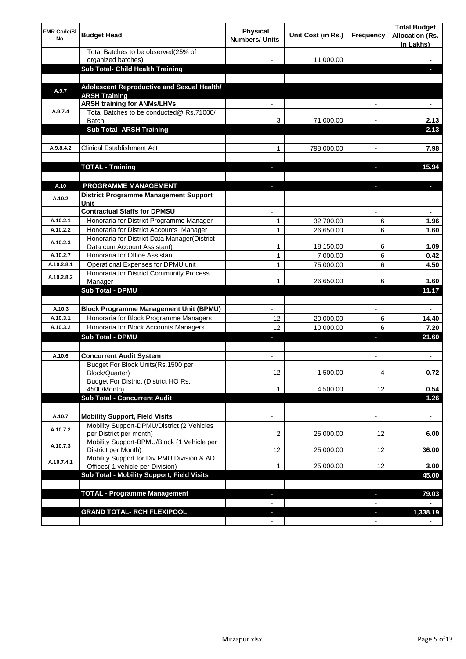| <b>FMR Code/SI.</b><br>No. | <b>Budget Head</b>                                                                  | Physical<br><b>Numbers/ Units</b> | Unit Cost (in Rs.) | Frequency                      | <b>Total Budget</b><br><b>Allocation (Rs.</b><br>In Lakhs) |
|----------------------------|-------------------------------------------------------------------------------------|-----------------------------------|--------------------|--------------------------------|------------------------------------------------------------|
|                            | Total Batches to be observed(25% of                                                 |                                   |                    |                                |                                                            |
|                            | organized batches)<br>Sub Total- Child Health Training                              |                                   | 11,000.00          |                                |                                                            |
|                            |                                                                                     |                                   |                    |                                |                                                            |
| A.9.7                      | Adolescent Reproductive and Sexual Health/<br><b>ARSH Training</b>                  |                                   |                    |                                |                                                            |
|                            | <b>ARSH training for ANMs/LHVs</b>                                                  |                                   |                    |                                |                                                            |
| A.9.7.4                    | Total Batches to be conducted@ Rs.71000/<br><b>Batch</b>                            | 3                                 | 71,000.00          |                                | 2.13                                                       |
|                            | <b>Sub Total- ARSH Training</b>                                                     |                                   |                    |                                | 2.13                                                       |
|                            |                                                                                     |                                   |                    |                                |                                                            |
| A.9.8.4.2                  | <b>Clinical Establishment Act</b>                                                   | 1                                 | 798,000.00         |                                | 7.98                                                       |
|                            | <b>TOTAL - Training</b>                                                             |                                   |                    |                                | 15.94                                                      |
|                            |                                                                                     |                                   |                    |                                |                                                            |
| A.10                       | <b>PROGRAMME MANAGEMENT</b>                                                         |                                   |                    |                                |                                                            |
| A.10.2                     | <b>District Programme Management Support</b><br>Unit                                |                                   |                    |                                |                                                            |
|                            | <b>Contractual Staffs for DPMSU</b>                                                 |                                   |                    |                                |                                                            |
| A.10.2.1                   | Honoraria for District Programme Manager                                            | 1                                 | 32,700.00          | 6                              | 1.96                                                       |
| A.10.2.2                   | Honoraria for District Accounts Manager                                             | 1                                 | 26,650.00          | 6                              | 1.60                                                       |
| A.10.2.3                   | Honoraria for District Data Manager(District<br>Data cum Account Assistant)         | 1                                 | 18,150.00          | 6                              | 1.09                                                       |
| A.10.2.7                   | Honoraria for Office Assistant                                                      | 1                                 | 7,000.00           | 6                              | 0.42                                                       |
| A.10.2.8.1                 | Operational Expenses for DPMU unit                                                  | 1                                 | 75,000.00          | 6                              | 4.50                                                       |
| A.10.2.8.2                 | Honoraria for District Community Process                                            |                                   |                    |                                |                                                            |
|                            | Manager<br>Sub Total - DPMU                                                         | 1                                 | 26,650.00          | 6                              | 1.60<br>11.17                                              |
|                            |                                                                                     |                                   |                    |                                |                                                            |
| A.10.3                     | <b>Block Programme Management Unit (BPMU)</b>                                       | $\blacksquare$                    |                    | $\overline{\phantom{a}}$       | $\blacksquare$                                             |
| A.10.3.1                   | Honoraria for Block Programme Managers                                              | 12                                | 20,000.00          | 6                              | 14.40                                                      |
| A.10.3.2                   | Honoraria for Block Accounts Managers                                               | 12                                | 10,000.00          | 6                              | 7.20                                                       |
|                            | <b>Sub Total - DPMU</b>                                                             | ٠                                 |                    | J,                             | 21.60                                                      |
|                            |                                                                                     |                                   |                    |                                |                                                            |
| A.10.6                     | <b>Concurrent Audit System</b>                                                      | $\blacksquare$                    |                    | $\blacksquare$                 | ۰                                                          |
|                            | Budget For Block Units(Rs.1500 per<br>Block/Quarter)                                | 12                                | 1,500.00           | 4                              | 0.72                                                       |
|                            | Budget For District (District HO Rs.<br>4500/Month)                                 | 1                                 | 4,500.00           | 12                             | 0.54                                                       |
|                            | <b>Sub Total - Concurrent Audit</b>                                                 |                                   |                    |                                | $1.26$                                                     |
|                            |                                                                                     |                                   |                    |                                |                                                            |
| A.10.7<br>A.10.7.2         | <b>Mobility Support, Field Visits</b><br>Mobility Support-DPMU/District (2 Vehicles | $\overline{\phantom{a}}$          |                    | $\overline{\phantom{a}}$       | ۰                                                          |
|                            | per District per month)                                                             | 2                                 | 25,000.00          | 12                             | 6.00                                                       |
| A.10.7.3                   | Mobility Support-BPMU/Block (1 Vehicle per<br>District per Month)                   | 12                                | 25,000.00          | 12                             | 36.00                                                      |
| A.10.7.4.1                 | Mobility Support for Div.PMU Division & AD<br>Offices( 1 vehicle per Division)      | 1                                 | 25,000.00          | 12                             | 3.00                                                       |
|                            | Sub Total - Mobility Support, Field Visits                                          |                                   |                    |                                | 45.00                                                      |
|                            |                                                                                     |                                   |                    |                                |                                                            |
|                            | <b>TOTAL - Programme Management</b>                                                 |                                   |                    | ı                              | 79.03                                                      |
|                            |                                                                                     |                                   |                    |                                |                                                            |
|                            | <b>GRAND TOTAL- RCH FLEXIPOOL</b>                                                   | ٠<br>$\blacksquare$               |                    | H,<br>$\overline{\phantom{a}}$ | 1,338.19                                                   |
|                            |                                                                                     |                                   |                    |                                |                                                            |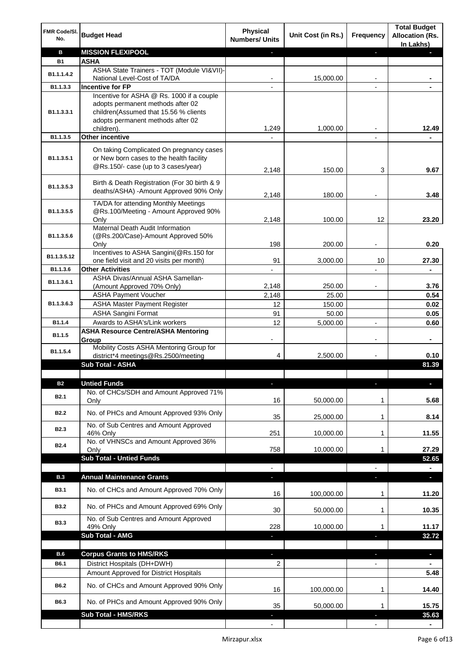| <b>MISSION FLEXIPOOL</b><br>в<br>J,<br><b>ASHA</b><br><b>B1</b><br>ASHA State Trainers - TOT (Module VI&VII)-<br>B1.1.1.4.2<br>15,000.00<br>National Level-Cost of TA/DA<br><b>Incentive for FP</b><br>B1.1.3.3<br>Incentive for ASHA @ Rs. 1000 if a couple<br>adopts permanent methods after 02<br>children(Assumed that 15.56 % clients<br>B1.1.3.3.1<br>adopts permanent methods after 02<br>1,249<br>1,000.00<br>12.49<br>children).<br><b>Other incentive</b><br>B1.1.3.5<br>$\blacksquare$<br>On taking Complicated On pregnancy cases<br>or New born cases to the health facility<br>B1.1.3.5.1<br>@Rs.150/- case (up to 3 cases/year)<br>150.00<br>3<br>9.67<br>2,148<br>Birth & Death Registration (For 30 birth & 9<br>B1.1.3.5.3<br>deaths/ASHA) - Amount Approved 90% Only<br>2,148<br>180.00<br>3.48<br>TA/DA for attending Monthly Meetings<br>@Rs.100/Meeting - Amount Approved 90%<br>B1.1.3.5.5<br>2,148<br>100.00<br>12<br>23.20<br>Only<br>Maternal Death Audit Information<br>(@Rs.200/Case)-Amount Approved 50%<br>B1.1.3.5.6<br>198<br>0.20<br>200.00<br>Only<br>Incentives to ASHA Sangini(@Rs.150 for<br>B1.1.3.5.12<br>91<br>3,000.00<br>27.30<br>one field visit and 20 visits per month)<br>10<br><b>Other Activities</b><br>B1.1.3.6<br>$\blacksquare$<br>ASHA Divas/Annual ASHA Samellan-<br>B1.1.3.6.1<br>2,148<br>250.00<br>3.76<br>(Amount Approved 70% Only)<br><b>ASHA Payment Voucher</b><br>2,148<br>25.00<br>0.54<br>B1.1.3.6.3<br><b>ASHA Master Payment Register</b><br>12<br>150.00<br>0.02<br><b>ASHA Sangini Format</b><br>91<br>50.00<br>0.05<br>Awards to ASHA's/Link workers<br>12<br>5,000.00<br>B1.1.4<br>0.60<br>$\overline{a}$<br><b>ASHA Resource Centre/ASHA Mentoring</b><br>B1.1.5<br>Group<br>۰<br>-<br>$\overline{\phantom{a}}$<br>Mobility Costs ASHA Mentoring Group for<br>B1.1.5.4<br>district*4 meetings@Rs.2500/meeting<br>4<br>2,500.00<br>0.10<br><b>Sub Total - ASHA</b><br>81.39<br><b>Untied Funds</b><br><b>B2</b><br>п<br>No. of CHCs/SDH and Amount Approved 71%<br>B <sub>2.1</sub><br>5.68<br>16<br>50,000.00<br>Only<br>1<br>No. of PHCs and Amount Approved 93% Only<br><b>B2.2</b><br>35<br>8.14<br>25,000.00<br>1<br>No. of Sub Centres and Amount Approved<br>B <sub>2.3</sub><br>251<br>10,000.00<br>11.55<br>46% Only<br>1<br>No. of VHNSCs and Amount Approved 36%<br><b>B2.4</b><br>758<br>10,000.00<br>27.29<br>1<br>Only<br><b>Sub Total - Untied Funds</b><br>52.65<br><b>Annual Maintenance Grants</b><br><b>B.3</b><br>a,<br>J,<br>T<br>No. of CHCs and Amount Approved 70% Only<br><b>B3.1</b><br>100,000.00<br>11.20<br>16<br>1<br>No. of PHCs and Amount Approved 69% Only<br><b>B3.2</b><br>30<br>10.35<br>50,000.00<br>1<br>No. of Sub Centres and Amount Approved<br><b>B3.3</b><br>49% Only<br>228<br>10,000.00<br>11.17<br>1<br><b>Sub Total - AMG</b><br>32.72<br>ı<br>п<br><b>B.6</b><br><b>Corpus Grants to HMS/RKS</b><br>$\overline{\phantom{a}}$<br>J,<br>ı<br>District Hospitals (DH+DWH)<br>B6.1<br>2<br>$\overline{\phantom{0}}$<br>Amount Approved for District Hospitals<br>5.48<br>No. of CHCs and Amount Approved 90% Only<br>B6.2<br>100,000.00<br>16<br>14.40<br>1<br>B6.3<br>No. of PHCs and Amount Approved 90% Only<br>35<br>50,000.00<br>15.75<br>1<br><b>Sub Total - HMS/RKS</b><br>35.63 | FMR Code/SI.<br>No. | <b>Budget Head</b> | <b>Physical</b><br><b>Numbers/ Units</b> | Unit Cost (in Rs.) | Frequency | <b>Total Budget</b><br><b>Allocation (Rs.</b><br>In Lakhs) |
|-------------------------------------------------------------------------------------------------------------------------------------------------------------------------------------------------------------------------------------------------------------------------------------------------------------------------------------------------------------------------------------------------------------------------------------------------------------------------------------------------------------------------------------------------------------------------------------------------------------------------------------------------------------------------------------------------------------------------------------------------------------------------------------------------------------------------------------------------------------------------------------------------------------------------------------------------------------------------------------------------------------------------------------------------------------------------------------------------------------------------------------------------------------------------------------------------------------------------------------------------------------------------------------------------------------------------------------------------------------------------------------------------------------------------------------------------------------------------------------------------------------------------------------------------------------------------------------------------------------------------------------------------------------------------------------------------------------------------------------------------------------------------------------------------------------------------------------------------------------------------------------------------------------------------------------------------------------------------------------------------------------------------------------------------------------------------------------------------------------------------------------------------------------------------------------------------------------------------------------------------------------------------------------------------------------------------------------------------------------------------------------------------------------------------------------------------------------------------------------------------------------------------------------------------------------------------------------------------------------------------------------------------------------------------------------------------------------------------------------------------------------------------------------------------------------------------------------------------------------------------------------------------------------------------------------------------------------------------------------------------------------------------------------------------------------------------------------------------------------------------------------------------------------------------------------------------------------------------------------------------------------------------------------------------------------|---------------------|--------------------|------------------------------------------|--------------------|-----------|------------------------------------------------------------|
|                                                                                                                                                                                                                                                                                                                                                                                                                                                                                                                                                                                                                                                                                                                                                                                                                                                                                                                                                                                                                                                                                                                                                                                                                                                                                                                                                                                                                                                                                                                                                                                                                                                                                                                                                                                                                                                                                                                                                                                                                                                                                                                                                                                                                                                                                                                                                                                                                                                                                                                                                                                                                                                                                                                                                                                                                                                                                                                                                                                                                                                                                                                                                                                                                                                                                                             |                     |                    |                                          |                    |           |                                                            |
|                                                                                                                                                                                                                                                                                                                                                                                                                                                                                                                                                                                                                                                                                                                                                                                                                                                                                                                                                                                                                                                                                                                                                                                                                                                                                                                                                                                                                                                                                                                                                                                                                                                                                                                                                                                                                                                                                                                                                                                                                                                                                                                                                                                                                                                                                                                                                                                                                                                                                                                                                                                                                                                                                                                                                                                                                                                                                                                                                                                                                                                                                                                                                                                                                                                                                                             |                     |                    |                                          |                    |           |                                                            |
|                                                                                                                                                                                                                                                                                                                                                                                                                                                                                                                                                                                                                                                                                                                                                                                                                                                                                                                                                                                                                                                                                                                                                                                                                                                                                                                                                                                                                                                                                                                                                                                                                                                                                                                                                                                                                                                                                                                                                                                                                                                                                                                                                                                                                                                                                                                                                                                                                                                                                                                                                                                                                                                                                                                                                                                                                                                                                                                                                                                                                                                                                                                                                                                                                                                                                                             |                     |                    |                                          |                    |           |                                                            |
|                                                                                                                                                                                                                                                                                                                                                                                                                                                                                                                                                                                                                                                                                                                                                                                                                                                                                                                                                                                                                                                                                                                                                                                                                                                                                                                                                                                                                                                                                                                                                                                                                                                                                                                                                                                                                                                                                                                                                                                                                                                                                                                                                                                                                                                                                                                                                                                                                                                                                                                                                                                                                                                                                                                                                                                                                                                                                                                                                                                                                                                                                                                                                                                                                                                                                                             |                     |                    |                                          |                    |           |                                                            |
|                                                                                                                                                                                                                                                                                                                                                                                                                                                                                                                                                                                                                                                                                                                                                                                                                                                                                                                                                                                                                                                                                                                                                                                                                                                                                                                                                                                                                                                                                                                                                                                                                                                                                                                                                                                                                                                                                                                                                                                                                                                                                                                                                                                                                                                                                                                                                                                                                                                                                                                                                                                                                                                                                                                                                                                                                                                                                                                                                                                                                                                                                                                                                                                                                                                                                                             |                     |                    |                                          |                    |           |                                                            |
|                                                                                                                                                                                                                                                                                                                                                                                                                                                                                                                                                                                                                                                                                                                                                                                                                                                                                                                                                                                                                                                                                                                                                                                                                                                                                                                                                                                                                                                                                                                                                                                                                                                                                                                                                                                                                                                                                                                                                                                                                                                                                                                                                                                                                                                                                                                                                                                                                                                                                                                                                                                                                                                                                                                                                                                                                                                                                                                                                                                                                                                                                                                                                                                                                                                                                                             |                     |                    |                                          |                    |           |                                                            |
|                                                                                                                                                                                                                                                                                                                                                                                                                                                                                                                                                                                                                                                                                                                                                                                                                                                                                                                                                                                                                                                                                                                                                                                                                                                                                                                                                                                                                                                                                                                                                                                                                                                                                                                                                                                                                                                                                                                                                                                                                                                                                                                                                                                                                                                                                                                                                                                                                                                                                                                                                                                                                                                                                                                                                                                                                                                                                                                                                                                                                                                                                                                                                                                                                                                                                                             |                     |                    |                                          |                    |           |                                                            |
|                                                                                                                                                                                                                                                                                                                                                                                                                                                                                                                                                                                                                                                                                                                                                                                                                                                                                                                                                                                                                                                                                                                                                                                                                                                                                                                                                                                                                                                                                                                                                                                                                                                                                                                                                                                                                                                                                                                                                                                                                                                                                                                                                                                                                                                                                                                                                                                                                                                                                                                                                                                                                                                                                                                                                                                                                                                                                                                                                                                                                                                                                                                                                                                                                                                                                                             |                     |                    |                                          |                    |           |                                                            |
|                                                                                                                                                                                                                                                                                                                                                                                                                                                                                                                                                                                                                                                                                                                                                                                                                                                                                                                                                                                                                                                                                                                                                                                                                                                                                                                                                                                                                                                                                                                                                                                                                                                                                                                                                                                                                                                                                                                                                                                                                                                                                                                                                                                                                                                                                                                                                                                                                                                                                                                                                                                                                                                                                                                                                                                                                                                                                                                                                                                                                                                                                                                                                                                                                                                                                                             |                     |                    |                                          |                    |           |                                                            |
|                                                                                                                                                                                                                                                                                                                                                                                                                                                                                                                                                                                                                                                                                                                                                                                                                                                                                                                                                                                                                                                                                                                                                                                                                                                                                                                                                                                                                                                                                                                                                                                                                                                                                                                                                                                                                                                                                                                                                                                                                                                                                                                                                                                                                                                                                                                                                                                                                                                                                                                                                                                                                                                                                                                                                                                                                                                                                                                                                                                                                                                                                                                                                                                                                                                                                                             |                     |                    |                                          |                    |           |                                                            |
|                                                                                                                                                                                                                                                                                                                                                                                                                                                                                                                                                                                                                                                                                                                                                                                                                                                                                                                                                                                                                                                                                                                                                                                                                                                                                                                                                                                                                                                                                                                                                                                                                                                                                                                                                                                                                                                                                                                                                                                                                                                                                                                                                                                                                                                                                                                                                                                                                                                                                                                                                                                                                                                                                                                                                                                                                                                                                                                                                                                                                                                                                                                                                                                                                                                                                                             |                     |                    |                                          |                    |           |                                                            |
|                                                                                                                                                                                                                                                                                                                                                                                                                                                                                                                                                                                                                                                                                                                                                                                                                                                                                                                                                                                                                                                                                                                                                                                                                                                                                                                                                                                                                                                                                                                                                                                                                                                                                                                                                                                                                                                                                                                                                                                                                                                                                                                                                                                                                                                                                                                                                                                                                                                                                                                                                                                                                                                                                                                                                                                                                                                                                                                                                                                                                                                                                                                                                                                                                                                                                                             |                     |                    |                                          |                    |           |                                                            |
|                                                                                                                                                                                                                                                                                                                                                                                                                                                                                                                                                                                                                                                                                                                                                                                                                                                                                                                                                                                                                                                                                                                                                                                                                                                                                                                                                                                                                                                                                                                                                                                                                                                                                                                                                                                                                                                                                                                                                                                                                                                                                                                                                                                                                                                                                                                                                                                                                                                                                                                                                                                                                                                                                                                                                                                                                                                                                                                                                                                                                                                                                                                                                                                                                                                                                                             |                     |                    |                                          |                    |           |                                                            |
|                                                                                                                                                                                                                                                                                                                                                                                                                                                                                                                                                                                                                                                                                                                                                                                                                                                                                                                                                                                                                                                                                                                                                                                                                                                                                                                                                                                                                                                                                                                                                                                                                                                                                                                                                                                                                                                                                                                                                                                                                                                                                                                                                                                                                                                                                                                                                                                                                                                                                                                                                                                                                                                                                                                                                                                                                                                                                                                                                                                                                                                                                                                                                                                                                                                                                                             |                     |                    |                                          |                    |           |                                                            |
|                                                                                                                                                                                                                                                                                                                                                                                                                                                                                                                                                                                                                                                                                                                                                                                                                                                                                                                                                                                                                                                                                                                                                                                                                                                                                                                                                                                                                                                                                                                                                                                                                                                                                                                                                                                                                                                                                                                                                                                                                                                                                                                                                                                                                                                                                                                                                                                                                                                                                                                                                                                                                                                                                                                                                                                                                                                                                                                                                                                                                                                                                                                                                                                                                                                                                                             |                     |                    |                                          |                    |           |                                                            |
|                                                                                                                                                                                                                                                                                                                                                                                                                                                                                                                                                                                                                                                                                                                                                                                                                                                                                                                                                                                                                                                                                                                                                                                                                                                                                                                                                                                                                                                                                                                                                                                                                                                                                                                                                                                                                                                                                                                                                                                                                                                                                                                                                                                                                                                                                                                                                                                                                                                                                                                                                                                                                                                                                                                                                                                                                                                                                                                                                                                                                                                                                                                                                                                                                                                                                                             |                     |                    |                                          |                    |           |                                                            |
|                                                                                                                                                                                                                                                                                                                                                                                                                                                                                                                                                                                                                                                                                                                                                                                                                                                                                                                                                                                                                                                                                                                                                                                                                                                                                                                                                                                                                                                                                                                                                                                                                                                                                                                                                                                                                                                                                                                                                                                                                                                                                                                                                                                                                                                                                                                                                                                                                                                                                                                                                                                                                                                                                                                                                                                                                                                                                                                                                                                                                                                                                                                                                                                                                                                                                                             |                     |                    |                                          |                    |           |                                                            |
|                                                                                                                                                                                                                                                                                                                                                                                                                                                                                                                                                                                                                                                                                                                                                                                                                                                                                                                                                                                                                                                                                                                                                                                                                                                                                                                                                                                                                                                                                                                                                                                                                                                                                                                                                                                                                                                                                                                                                                                                                                                                                                                                                                                                                                                                                                                                                                                                                                                                                                                                                                                                                                                                                                                                                                                                                                                                                                                                                                                                                                                                                                                                                                                                                                                                                                             |                     |                    |                                          |                    |           |                                                            |
|                                                                                                                                                                                                                                                                                                                                                                                                                                                                                                                                                                                                                                                                                                                                                                                                                                                                                                                                                                                                                                                                                                                                                                                                                                                                                                                                                                                                                                                                                                                                                                                                                                                                                                                                                                                                                                                                                                                                                                                                                                                                                                                                                                                                                                                                                                                                                                                                                                                                                                                                                                                                                                                                                                                                                                                                                                                                                                                                                                                                                                                                                                                                                                                                                                                                                                             |                     |                    |                                          |                    |           |                                                            |
|                                                                                                                                                                                                                                                                                                                                                                                                                                                                                                                                                                                                                                                                                                                                                                                                                                                                                                                                                                                                                                                                                                                                                                                                                                                                                                                                                                                                                                                                                                                                                                                                                                                                                                                                                                                                                                                                                                                                                                                                                                                                                                                                                                                                                                                                                                                                                                                                                                                                                                                                                                                                                                                                                                                                                                                                                                                                                                                                                                                                                                                                                                                                                                                                                                                                                                             |                     |                    |                                          |                    |           |                                                            |
|                                                                                                                                                                                                                                                                                                                                                                                                                                                                                                                                                                                                                                                                                                                                                                                                                                                                                                                                                                                                                                                                                                                                                                                                                                                                                                                                                                                                                                                                                                                                                                                                                                                                                                                                                                                                                                                                                                                                                                                                                                                                                                                                                                                                                                                                                                                                                                                                                                                                                                                                                                                                                                                                                                                                                                                                                                                                                                                                                                                                                                                                                                                                                                                                                                                                                                             |                     |                    |                                          |                    |           |                                                            |
|                                                                                                                                                                                                                                                                                                                                                                                                                                                                                                                                                                                                                                                                                                                                                                                                                                                                                                                                                                                                                                                                                                                                                                                                                                                                                                                                                                                                                                                                                                                                                                                                                                                                                                                                                                                                                                                                                                                                                                                                                                                                                                                                                                                                                                                                                                                                                                                                                                                                                                                                                                                                                                                                                                                                                                                                                                                                                                                                                                                                                                                                                                                                                                                                                                                                                                             |                     |                    |                                          |                    |           |                                                            |
|                                                                                                                                                                                                                                                                                                                                                                                                                                                                                                                                                                                                                                                                                                                                                                                                                                                                                                                                                                                                                                                                                                                                                                                                                                                                                                                                                                                                                                                                                                                                                                                                                                                                                                                                                                                                                                                                                                                                                                                                                                                                                                                                                                                                                                                                                                                                                                                                                                                                                                                                                                                                                                                                                                                                                                                                                                                                                                                                                                                                                                                                                                                                                                                                                                                                                                             |                     |                    |                                          |                    |           |                                                            |
|                                                                                                                                                                                                                                                                                                                                                                                                                                                                                                                                                                                                                                                                                                                                                                                                                                                                                                                                                                                                                                                                                                                                                                                                                                                                                                                                                                                                                                                                                                                                                                                                                                                                                                                                                                                                                                                                                                                                                                                                                                                                                                                                                                                                                                                                                                                                                                                                                                                                                                                                                                                                                                                                                                                                                                                                                                                                                                                                                                                                                                                                                                                                                                                                                                                                                                             |                     |                    |                                          |                    |           |                                                            |
|                                                                                                                                                                                                                                                                                                                                                                                                                                                                                                                                                                                                                                                                                                                                                                                                                                                                                                                                                                                                                                                                                                                                                                                                                                                                                                                                                                                                                                                                                                                                                                                                                                                                                                                                                                                                                                                                                                                                                                                                                                                                                                                                                                                                                                                                                                                                                                                                                                                                                                                                                                                                                                                                                                                                                                                                                                                                                                                                                                                                                                                                                                                                                                                                                                                                                                             |                     |                    |                                          |                    |           |                                                            |
|                                                                                                                                                                                                                                                                                                                                                                                                                                                                                                                                                                                                                                                                                                                                                                                                                                                                                                                                                                                                                                                                                                                                                                                                                                                                                                                                                                                                                                                                                                                                                                                                                                                                                                                                                                                                                                                                                                                                                                                                                                                                                                                                                                                                                                                                                                                                                                                                                                                                                                                                                                                                                                                                                                                                                                                                                                                                                                                                                                                                                                                                                                                                                                                                                                                                                                             |                     |                    |                                          |                    |           |                                                            |
|                                                                                                                                                                                                                                                                                                                                                                                                                                                                                                                                                                                                                                                                                                                                                                                                                                                                                                                                                                                                                                                                                                                                                                                                                                                                                                                                                                                                                                                                                                                                                                                                                                                                                                                                                                                                                                                                                                                                                                                                                                                                                                                                                                                                                                                                                                                                                                                                                                                                                                                                                                                                                                                                                                                                                                                                                                                                                                                                                                                                                                                                                                                                                                                                                                                                                                             |                     |                    |                                          |                    |           |                                                            |
|                                                                                                                                                                                                                                                                                                                                                                                                                                                                                                                                                                                                                                                                                                                                                                                                                                                                                                                                                                                                                                                                                                                                                                                                                                                                                                                                                                                                                                                                                                                                                                                                                                                                                                                                                                                                                                                                                                                                                                                                                                                                                                                                                                                                                                                                                                                                                                                                                                                                                                                                                                                                                                                                                                                                                                                                                                                                                                                                                                                                                                                                                                                                                                                                                                                                                                             |                     |                    |                                          |                    |           |                                                            |
|                                                                                                                                                                                                                                                                                                                                                                                                                                                                                                                                                                                                                                                                                                                                                                                                                                                                                                                                                                                                                                                                                                                                                                                                                                                                                                                                                                                                                                                                                                                                                                                                                                                                                                                                                                                                                                                                                                                                                                                                                                                                                                                                                                                                                                                                                                                                                                                                                                                                                                                                                                                                                                                                                                                                                                                                                                                                                                                                                                                                                                                                                                                                                                                                                                                                                                             |                     |                    |                                          |                    |           |                                                            |
|                                                                                                                                                                                                                                                                                                                                                                                                                                                                                                                                                                                                                                                                                                                                                                                                                                                                                                                                                                                                                                                                                                                                                                                                                                                                                                                                                                                                                                                                                                                                                                                                                                                                                                                                                                                                                                                                                                                                                                                                                                                                                                                                                                                                                                                                                                                                                                                                                                                                                                                                                                                                                                                                                                                                                                                                                                                                                                                                                                                                                                                                                                                                                                                                                                                                                                             |                     |                    |                                          |                    |           |                                                            |
|                                                                                                                                                                                                                                                                                                                                                                                                                                                                                                                                                                                                                                                                                                                                                                                                                                                                                                                                                                                                                                                                                                                                                                                                                                                                                                                                                                                                                                                                                                                                                                                                                                                                                                                                                                                                                                                                                                                                                                                                                                                                                                                                                                                                                                                                                                                                                                                                                                                                                                                                                                                                                                                                                                                                                                                                                                                                                                                                                                                                                                                                                                                                                                                                                                                                                                             |                     |                    |                                          |                    |           |                                                            |
|                                                                                                                                                                                                                                                                                                                                                                                                                                                                                                                                                                                                                                                                                                                                                                                                                                                                                                                                                                                                                                                                                                                                                                                                                                                                                                                                                                                                                                                                                                                                                                                                                                                                                                                                                                                                                                                                                                                                                                                                                                                                                                                                                                                                                                                                                                                                                                                                                                                                                                                                                                                                                                                                                                                                                                                                                                                                                                                                                                                                                                                                                                                                                                                                                                                                                                             |                     |                    |                                          |                    |           |                                                            |
|                                                                                                                                                                                                                                                                                                                                                                                                                                                                                                                                                                                                                                                                                                                                                                                                                                                                                                                                                                                                                                                                                                                                                                                                                                                                                                                                                                                                                                                                                                                                                                                                                                                                                                                                                                                                                                                                                                                                                                                                                                                                                                                                                                                                                                                                                                                                                                                                                                                                                                                                                                                                                                                                                                                                                                                                                                                                                                                                                                                                                                                                                                                                                                                                                                                                                                             |                     |                    |                                          |                    |           |                                                            |
|                                                                                                                                                                                                                                                                                                                                                                                                                                                                                                                                                                                                                                                                                                                                                                                                                                                                                                                                                                                                                                                                                                                                                                                                                                                                                                                                                                                                                                                                                                                                                                                                                                                                                                                                                                                                                                                                                                                                                                                                                                                                                                                                                                                                                                                                                                                                                                                                                                                                                                                                                                                                                                                                                                                                                                                                                                                                                                                                                                                                                                                                                                                                                                                                                                                                                                             |                     |                    |                                          |                    |           |                                                            |
|                                                                                                                                                                                                                                                                                                                                                                                                                                                                                                                                                                                                                                                                                                                                                                                                                                                                                                                                                                                                                                                                                                                                                                                                                                                                                                                                                                                                                                                                                                                                                                                                                                                                                                                                                                                                                                                                                                                                                                                                                                                                                                                                                                                                                                                                                                                                                                                                                                                                                                                                                                                                                                                                                                                                                                                                                                                                                                                                                                                                                                                                                                                                                                                                                                                                                                             |                     |                    |                                          |                    |           |                                                            |
|                                                                                                                                                                                                                                                                                                                                                                                                                                                                                                                                                                                                                                                                                                                                                                                                                                                                                                                                                                                                                                                                                                                                                                                                                                                                                                                                                                                                                                                                                                                                                                                                                                                                                                                                                                                                                                                                                                                                                                                                                                                                                                                                                                                                                                                                                                                                                                                                                                                                                                                                                                                                                                                                                                                                                                                                                                                                                                                                                                                                                                                                                                                                                                                                                                                                                                             |                     |                    |                                          |                    |           |                                                            |
|                                                                                                                                                                                                                                                                                                                                                                                                                                                                                                                                                                                                                                                                                                                                                                                                                                                                                                                                                                                                                                                                                                                                                                                                                                                                                                                                                                                                                                                                                                                                                                                                                                                                                                                                                                                                                                                                                                                                                                                                                                                                                                                                                                                                                                                                                                                                                                                                                                                                                                                                                                                                                                                                                                                                                                                                                                                                                                                                                                                                                                                                                                                                                                                                                                                                                                             |                     |                    |                                          |                    |           |                                                            |
|                                                                                                                                                                                                                                                                                                                                                                                                                                                                                                                                                                                                                                                                                                                                                                                                                                                                                                                                                                                                                                                                                                                                                                                                                                                                                                                                                                                                                                                                                                                                                                                                                                                                                                                                                                                                                                                                                                                                                                                                                                                                                                                                                                                                                                                                                                                                                                                                                                                                                                                                                                                                                                                                                                                                                                                                                                                                                                                                                                                                                                                                                                                                                                                                                                                                                                             |                     |                    |                                          |                    |           |                                                            |
|                                                                                                                                                                                                                                                                                                                                                                                                                                                                                                                                                                                                                                                                                                                                                                                                                                                                                                                                                                                                                                                                                                                                                                                                                                                                                                                                                                                                                                                                                                                                                                                                                                                                                                                                                                                                                                                                                                                                                                                                                                                                                                                                                                                                                                                                                                                                                                                                                                                                                                                                                                                                                                                                                                                                                                                                                                                                                                                                                                                                                                                                                                                                                                                                                                                                                                             |                     |                    |                                          |                    |           |                                                            |
|                                                                                                                                                                                                                                                                                                                                                                                                                                                                                                                                                                                                                                                                                                                                                                                                                                                                                                                                                                                                                                                                                                                                                                                                                                                                                                                                                                                                                                                                                                                                                                                                                                                                                                                                                                                                                                                                                                                                                                                                                                                                                                                                                                                                                                                                                                                                                                                                                                                                                                                                                                                                                                                                                                                                                                                                                                                                                                                                                                                                                                                                                                                                                                                                                                                                                                             |                     |                    |                                          |                    |           |                                                            |
|                                                                                                                                                                                                                                                                                                                                                                                                                                                                                                                                                                                                                                                                                                                                                                                                                                                                                                                                                                                                                                                                                                                                                                                                                                                                                                                                                                                                                                                                                                                                                                                                                                                                                                                                                                                                                                                                                                                                                                                                                                                                                                                                                                                                                                                                                                                                                                                                                                                                                                                                                                                                                                                                                                                                                                                                                                                                                                                                                                                                                                                                                                                                                                                                                                                                                                             |                     |                    |                                          |                    |           |                                                            |
|                                                                                                                                                                                                                                                                                                                                                                                                                                                                                                                                                                                                                                                                                                                                                                                                                                                                                                                                                                                                                                                                                                                                                                                                                                                                                                                                                                                                                                                                                                                                                                                                                                                                                                                                                                                                                                                                                                                                                                                                                                                                                                                                                                                                                                                                                                                                                                                                                                                                                                                                                                                                                                                                                                                                                                                                                                                                                                                                                                                                                                                                                                                                                                                                                                                                                                             |                     |                    |                                          |                    |           |                                                            |
|                                                                                                                                                                                                                                                                                                                                                                                                                                                                                                                                                                                                                                                                                                                                                                                                                                                                                                                                                                                                                                                                                                                                                                                                                                                                                                                                                                                                                                                                                                                                                                                                                                                                                                                                                                                                                                                                                                                                                                                                                                                                                                                                                                                                                                                                                                                                                                                                                                                                                                                                                                                                                                                                                                                                                                                                                                                                                                                                                                                                                                                                                                                                                                                                                                                                                                             |                     |                    |                                          |                    |           |                                                            |
|                                                                                                                                                                                                                                                                                                                                                                                                                                                                                                                                                                                                                                                                                                                                                                                                                                                                                                                                                                                                                                                                                                                                                                                                                                                                                                                                                                                                                                                                                                                                                                                                                                                                                                                                                                                                                                                                                                                                                                                                                                                                                                                                                                                                                                                                                                                                                                                                                                                                                                                                                                                                                                                                                                                                                                                                                                                                                                                                                                                                                                                                                                                                                                                                                                                                                                             |                     |                    |                                          |                    |           |                                                            |
|                                                                                                                                                                                                                                                                                                                                                                                                                                                                                                                                                                                                                                                                                                                                                                                                                                                                                                                                                                                                                                                                                                                                                                                                                                                                                                                                                                                                                                                                                                                                                                                                                                                                                                                                                                                                                                                                                                                                                                                                                                                                                                                                                                                                                                                                                                                                                                                                                                                                                                                                                                                                                                                                                                                                                                                                                                                                                                                                                                                                                                                                                                                                                                                                                                                                                                             |                     |                    |                                          |                    |           |                                                            |
|                                                                                                                                                                                                                                                                                                                                                                                                                                                                                                                                                                                                                                                                                                                                                                                                                                                                                                                                                                                                                                                                                                                                                                                                                                                                                                                                                                                                                                                                                                                                                                                                                                                                                                                                                                                                                                                                                                                                                                                                                                                                                                                                                                                                                                                                                                                                                                                                                                                                                                                                                                                                                                                                                                                                                                                                                                                                                                                                                                                                                                                                                                                                                                                                                                                                                                             |                     |                    |                                          |                    |           |                                                            |
|                                                                                                                                                                                                                                                                                                                                                                                                                                                                                                                                                                                                                                                                                                                                                                                                                                                                                                                                                                                                                                                                                                                                                                                                                                                                                                                                                                                                                                                                                                                                                                                                                                                                                                                                                                                                                                                                                                                                                                                                                                                                                                                                                                                                                                                                                                                                                                                                                                                                                                                                                                                                                                                                                                                                                                                                                                                                                                                                                                                                                                                                                                                                                                                                                                                                                                             |                     |                    |                                          |                    |           |                                                            |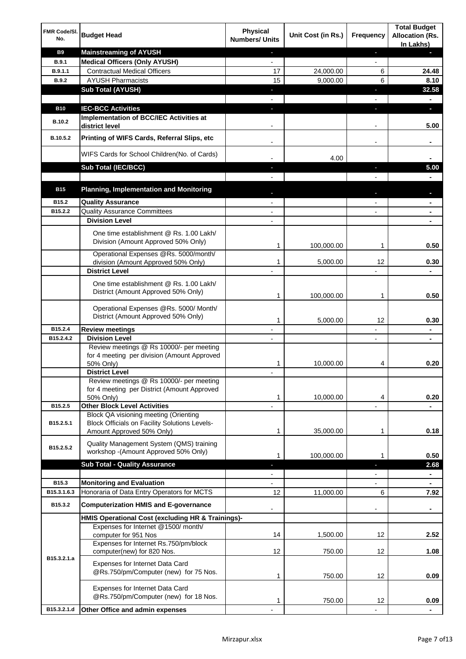| FMR Code/SI.<br>No. | <b>Budget Head</b>                                                                                                         | <b>Physical</b><br><b>Numbers/ Units</b> | Unit Cost (in Rs.) | Frequency                    | <b>Total Budget</b><br><b>Allocation (Rs.</b><br>In Lakhs) |
|---------------------|----------------------------------------------------------------------------------------------------------------------------|------------------------------------------|--------------------|------------------------------|------------------------------------------------------------|
| <b>B9</b>           | <b>Mainstreaming of AYUSH</b>                                                                                              | $\blacksquare$                           |                    | ٠                            | н                                                          |
| <b>B.9.1</b>        | <b>Medical Officers (Only AYUSH)</b>                                                                                       | $\overline{\phantom{a}}$                 |                    | $\overline{\phantom{a}}$     |                                                            |
| B.9.1.1             | <b>Contractual Medical Officers</b>                                                                                        | 17                                       | 24,000.00          | 6                            | 24.48                                                      |
| <b>B.9.2</b>        | <b>AYUSH Pharmacists</b>                                                                                                   | 15                                       | 9,000.00           | 6                            | 8.10                                                       |
|                     | <b>Sub Total (AYUSH)</b>                                                                                                   | ٠                                        |                    | ÷,                           | 32.58                                                      |
|                     |                                                                                                                            |                                          |                    |                              |                                                            |
| <b>B10</b>          | <b>IEC-BCC Activities</b><br>Implementation of BCC/IEC Activities at                                                       | J,                                       |                    | ı                            | O.                                                         |
| <b>B.10.2</b>       | district level                                                                                                             |                                          |                    |                              | 5.00                                                       |
| B.10.5.2            | Printing of WIFS Cards, Referral Slips, etc                                                                                | $\overline{\phantom{a}}$                 |                    | $\qquad \qquad \blacksquare$ |                                                            |
|                     | WIFS Cards for School Children(No. of Cards)                                                                               |                                          | 4.00               |                              |                                                            |
|                     | Sub Total (IEC/BCC)                                                                                                        |                                          |                    |                              | 5.00                                                       |
|                     |                                                                                                                            |                                          |                    |                              |                                                            |
| <b>B15</b>          | <b>Planning, Implementation and Monitoring</b>                                                                             |                                          |                    |                              |                                                            |
| B15.2               | <b>Quality Assurance</b>                                                                                                   |                                          |                    |                              | ۰                                                          |
| B15.2.2             | <b>Quality Assurance Committees</b>                                                                                        |                                          |                    |                              | ۰                                                          |
|                     | <b>Division Level</b>                                                                                                      |                                          |                    |                              |                                                            |
|                     | One time establishment @ Rs. 1.00 Lakh/<br>Division (Amount Approved 50% Only)                                             | 1                                        | 100,000.00         | 1                            | 0.50                                                       |
|                     | Operational Expenses @Rs. 5000/month/                                                                                      |                                          |                    |                              |                                                            |
|                     | division (Amount Approved 50% Only)                                                                                        | 1                                        | 5,000.00           | 12                           | 0.30                                                       |
|                     | <b>District Level</b>                                                                                                      |                                          |                    |                              |                                                            |
|                     | One time establishment @ Rs. 1.00 Lakh/<br>District (Amount Approved 50% Only)                                             | 1                                        | 100,000.00         | 1                            | 0.50                                                       |
|                     | Operational Expenses @Rs. 5000/ Month/<br>District (Amount Approved 50% Only)                                              | 1                                        | 5,000.00           | 12                           | 0.30                                                       |
| B15.2.4             | <b>Review meetings</b>                                                                                                     | $\overline{\phantom{a}}$                 |                    | -                            | ۰                                                          |
| B15.2.4.2           | <b>Division Level</b>                                                                                                      |                                          |                    | $\overline{\phantom{a}}$     | ٠                                                          |
|                     | Review meetings @ Rs 10000/- per meeting<br>for 4 meeting per division (Amount Approved<br>50% Only)                       | 1                                        | 10,000.00          | 4                            | 0.20                                                       |
|                     | <b>District Level</b>                                                                                                      |                                          |                    |                              |                                                            |
|                     | Review meetings @ Rs 10000/- per meeting<br>for 4 meeting per District (Amount Approved<br>50% Only)                       | 1                                        | 10,000.00          | 4                            | 0.20                                                       |
| B15.2.5             | <b>Other Block Level Activities</b>                                                                                        |                                          |                    |                              |                                                            |
| B15.2.5.1           | Block QA visioning meeting (Orienting<br><b>Block Officials on Facility Solutions Levels-</b><br>Amount Approved 50% Only) | 1                                        | 35,000.00          | 1                            | 0.18                                                       |
|                     | Quality Management System (QMS) training                                                                                   |                                          |                    |                              |                                                            |
| B15.2.5.2           | workshop - (Amount Approved 50% Only)                                                                                      | 1                                        | 100,000.00         | 1                            | 0.50                                                       |
|                     | <b>Sub Total - Quality Assurance</b>                                                                                       | н                                        |                    | r                            | 2.68                                                       |
|                     |                                                                                                                            |                                          |                    |                              | ۰                                                          |
| B15.3               | <b>Monitoring and Evaluation</b>                                                                                           |                                          |                    |                              |                                                            |
| B15.3.1.6.3         | Honoraria of Data Entry Operators for MCTS                                                                                 | 12                                       | 11,000.00          | 6                            | 7.92                                                       |
| B15.3.2             | <b>Computerization HMIS and E-governance</b>                                                                               |                                          |                    |                              | ۰                                                          |
|                     | HMIS Operational Cost (excluding HR & Trainings)-                                                                          |                                          |                    |                              |                                                            |
|                     | Expenses for Internet @1500/month/<br>computer for 951 Nos                                                                 | 14                                       | 1,500.00           | 12                           | 2.52                                                       |
|                     | Expenses for Internet Rs.750/pm/block<br>computer(new) for 820 Nos.                                                        | 12                                       | 750.00             | 12                           | 1.08                                                       |
| B15.3.2.1.a         | Expenses for Internet Data Card<br>@Rs.750/pm/Computer (new) for 75 Nos.                                                   | 1                                        | 750.00             | 12                           | 0.09                                                       |
|                     | Expenses for Internet Data Card<br>@Rs.750/pm/Computer (new) for 18 Nos.                                                   | 1                                        | 750.00             | 12                           | 0.09                                                       |
| B15.3.2.1.d         | Other Office and admin expenses                                                                                            |                                          |                    |                              |                                                            |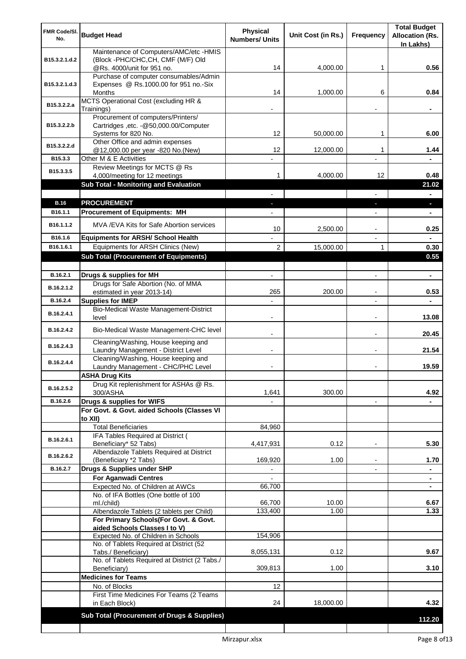| FMR Code/SI.<br>No. | <b>Budget Head</b>                                                                                   | <b>Physical</b><br><b>Numbers/ Units</b> | Unit Cost (in Rs.) | <b>Frequency</b>              | <b>Total Budget</b><br><b>Allocation (Rs.</b><br>In Lakhs) |
|---------------------|------------------------------------------------------------------------------------------------------|------------------------------------------|--------------------|-------------------------------|------------------------------------------------------------|
| B15.3.2.1.d.2       | Maintenance of Computers/AMC/etc -HMIS<br>(Block -PHC/CHC, CH, CMF (M/F) Old                         |                                          |                    |                               |                                                            |
|                     | @Rs. 4000/unit for 951 no.<br>Purchase of computer consumables/Admin                                 | 14                                       | 4,000.00           | 1                             | 0.56                                                       |
| B15.3.2.1.d.3       | Expenses @ Rs.1000.00 for 951 no.-Six<br>Months                                                      | 14                                       | 1,000.00           | 6                             | 0.84                                                       |
| B15.3.2.2.a         | MCTS Operational Cost (excluding HR &<br>Trainings)                                                  |                                          |                    |                               |                                                            |
| B15.3.2.2.b         | Procurement of computers/Printers/<br>Cartridges , etc. - @50,000.00/Computer<br>Systems for 820 No. | 12                                       | 50,000.00          | 1                             | 6.00                                                       |
| B15.3.2.2.d         | Other Office and admin expenses<br>@12,000.00 per year -820 No.(New)                                 | 12                                       | 12,000.00          | 1                             | 1.44                                                       |
| B15.3.3             | Other M & E Activities                                                                               |                                          |                    |                               |                                                            |
| B15.3.3.5           | Review Meetings for MCTS @ Rs<br>4,000/meeting for 12 meetings                                       | 1                                        | 4,000.00           | 12                            | 0.48                                                       |
|                     | <b>Sub Total - Monitoring and Evaluation</b>                                                         |                                          |                    |                               | 21.02                                                      |
| <b>B.16</b>         | <b>PROCUREMENT</b>                                                                                   | ٠                                        |                    | $\overline{\phantom{0}}$<br>٠ | $\blacksquare$<br>$\overline{\phantom{a}}$                 |
| B16.1.1             | <b>Procurement of Equipments: MH</b>                                                                 |                                          |                    | $\overline{\phantom{a}}$      | $\blacksquare$                                             |
| B16.1.1.2           | MVA /EVA Kits for Safe Abortion services                                                             | 10                                       | 2,500.00           |                               | 0.25                                                       |
| B16.1.6             | <b>Equipments for ARSH/ School Health</b>                                                            |                                          |                    |                               |                                                            |
| B16.1.6.1           | Equipments for ARSH Clinics (New)<br><b>Sub Total (Procurement of Equipments)</b>                    | $\overline{c}$                           | 15,000.00          | 1                             | 0.30<br>0.55                                               |
|                     |                                                                                                      |                                          |                    |                               |                                                            |
| B.16.2.1            | Drugs & supplies for MH                                                                              |                                          |                    |                               | $\blacksquare$                                             |
| B.16.2.1.2          | Drugs for Safe Abortion (No. of MMA<br>estimated in year 2013-14)                                    | 265                                      | 200.00             |                               | 0.53                                                       |
| B.16.2.4            | <b>Supplies for IMEP</b>                                                                             |                                          |                    |                               |                                                            |
| B.16.2.4.1          | Bio-Medical Waste Management-District<br>level                                                       |                                          |                    |                               | 13.08                                                      |
| B.16.2.4.2          | Bio-Medical Waste Management-CHC level                                                               |                                          |                    |                               | 20.45                                                      |
| B.16.2.4.3          | Cleaning/Washing, House keeping and<br>Laundry Management - District Level                           |                                          |                    |                               | 21.54                                                      |
| B.16.2.4.4          | Cleaning/Washing, House keeping and<br>Laundry Management - CHC/PHC Level                            |                                          |                    |                               | 19.59                                                      |
|                     | <b>ASHA Drug Kits</b><br>Drug Kit replenishment for ASHAs @ Rs.                                      |                                          |                    |                               |                                                            |
| B.16.2.5.2          | 300/ASHA                                                                                             | 1,641                                    | 300.00             |                               | 4.92                                                       |
| B.16.2.6            | Drugs & supplies for WIFS<br>For Govt. & Govt. aided Schools (Classes VI                             |                                          |                    | $\blacksquare$                |                                                            |
|                     | to XII)                                                                                              |                                          |                    |                               |                                                            |
|                     | <b>Total Beneficiaries</b>                                                                           | 84,960                                   |                    |                               |                                                            |
| B.16.2.6.1          | IFA Tables Required at District (<br>Beneficiary* 52 Tabs)                                           | 4,417,931                                | 0.12               | ٠                             | 5.30                                                       |
| B.16.2.6.2          | Albendazole Tablets Required at District<br>(Beneficiary *2 Tabs)                                    | 169,920                                  | 1.00               |                               | 1.70                                                       |
| B.16.2.7            | Drugs & Supplies under SHP                                                                           |                                          |                    |                               |                                                            |
|                     | <b>For Aganwadi Centres</b>                                                                          |                                          |                    |                               | ۰                                                          |
|                     | Expected No. of Children at AWCs<br>No. of IFA Bottles (One bottle of 100                            | 66,700                                   |                    |                               |                                                            |
|                     | ml./child)                                                                                           | 66,700                                   | 10.00              |                               | 6.67                                                       |
|                     | Albendazole Tablets (2 tablets per Child)<br>For Primary Schools(For Govt. & Govt.                   | 133,400                                  | 1.00               |                               | 1.33                                                       |
|                     | aided Schools Classes I to V)                                                                        |                                          |                    |                               |                                                            |
|                     | Expected No. of Children in Schools                                                                  | 154,906                                  |                    |                               |                                                            |
|                     | No. of Tablets Required at District (52<br>Tabs./ Beneficiary)                                       | 8,055,131                                | 0.12               |                               | 9.67                                                       |
|                     | No. of Tablets Required at District (2 Tabs./<br>Beneficiary)                                        | 309,813                                  | 1.00               |                               | 3.10                                                       |
|                     | <b>Medicines for Teams</b>                                                                           |                                          |                    |                               |                                                            |
|                     | No. of Blocks                                                                                        | 12                                       |                    |                               |                                                            |
|                     | First Time Medicines For Teams (2 Teams<br>in Each Block)                                            | 24                                       | 18,000.00          |                               | 4.32                                                       |
|                     | Sub Total (Procurement of Drugs & Supplies)                                                          |                                          |                    |                               | 112.20                                                     |
|                     |                                                                                                      |                                          |                    |                               |                                                            |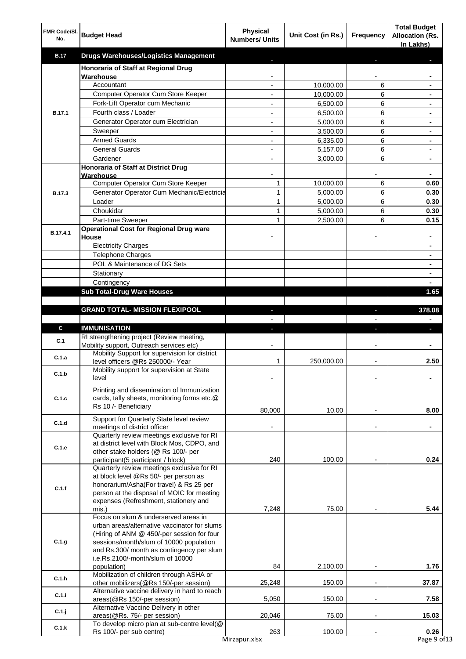| FMR Code/SI.<br>No. | <b>Budget Head</b>                                                                        | <b>Physical</b><br><b>Numbers/ Units</b>   | Unit Cost (in Rs.)    | Frequency                | <b>Total Budget</b><br><b>Allocation (Rs.</b><br>In Lakhs) |
|---------------------|-------------------------------------------------------------------------------------------|--------------------------------------------|-----------------------|--------------------------|------------------------------------------------------------|
| <b>B.17</b>         | <b>Drugs Warehouses/Logistics Management</b>                                              |                                            |                       |                          |                                                            |
|                     | Honoraria of Staff at Regional Drug                                                       |                                            |                       |                          |                                                            |
|                     | Warehouse                                                                                 |                                            |                       |                          |                                                            |
|                     | Accountant                                                                                | $\overline{a}$                             | 10,000.00             | 6<br>6                   |                                                            |
|                     | Computer Operator Cum Store Keeper<br>Fork-Lift Operator cum Mechanic                     | $\overline{\phantom{a}}$<br>$\blacksquare$ | 10,000.00<br>6,500.00 | 6                        | $\blacksquare$                                             |
| <b>B.17.1</b>       | Fourth class / Loader                                                                     | $\blacksquare$                             | 6,500.00              | 6                        | $\blacksquare$                                             |
|                     | Generator Operator cum Electrician                                                        | $\overline{a}$                             | 5,000.00              | 6                        | ٠                                                          |
|                     | Sweeper                                                                                   |                                            | 3,500.00              | 6                        |                                                            |
|                     | <b>Armed Guards</b>                                                                       |                                            | 6,335.00              | 6                        |                                                            |
|                     | <b>General Guards</b>                                                                     |                                            | 5,157.00              | 6                        |                                                            |
|                     | Gardener                                                                                  |                                            | 3,000.00              | 6                        |                                                            |
|                     | Honoraria of Staff at District Drug<br>Warehouse                                          |                                            |                       |                          | $\blacksquare$                                             |
|                     | Computer Operator Cum Store Keeper                                                        | 1                                          | 10,000.00             | 6                        | 0.60                                                       |
| <b>B.17.3</b>       | Generator Operator Cum Mechanic/Electricia                                                | $\mathbf{1}$                               | 5,000.00              | 6                        | 0.30                                                       |
|                     | Loader                                                                                    | 1                                          | 5,000.00              | 6                        | 0.30                                                       |
|                     | Choukidar                                                                                 | 1                                          | 5,000.00              | 6                        | 0.30                                                       |
|                     | Part-time Sweeper                                                                         | 1                                          | 2,500.00              | 6                        | 0.15                                                       |
| B.17.4.1            | <b>Operational Cost for Regional Drug ware</b><br>House                                   |                                            |                       |                          |                                                            |
|                     | <b>Electricity Charges</b>                                                                |                                            |                       |                          |                                                            |
|                     | <b>Telephone Charges</b>                                                                  |                                            |                       |                          | $\blacksquare$                                             |
|                     | POL & Maintenance of DG Sets                                                              |                                            |                       |                          | $\blacksquare$                                             |
|                     | Stationary                                                                                |                                            |                       |                          | $\blacksquare$                                             |
|                     | Contingency                                                                               |                                            |                       |                          | $\blacksquare$                                             |
|                     | <b>Sub Total-Drug Ware Houses</b>                                                         |                                            |                       |                          | 1.65                                                       |
|                     |                                                                                           |                                            |                       |                          |                                                            |
|                     | <b>GRAND TOTAL- MISSION FLEXIPOOL</b>                                                     | J.                                         |                       | $\sim$                   | 378.08                                                     |
| C                   | <b>IMMUNISATION</b>                                                                       |                                            |                       |                          | $\blacksquare$                                             |
|                     | RI strengthening project (Review meeting,                                                 | ÷.                                         |                       | ı                        | J,                                                         |
| C.1                 | Mobility support, Outreach services etc)                                                  |                                            |                       |                          |                                                            |
| C.1.a               | Mobility Support for supervision for district                                             |                                            |                       |                          |                                                            |
|                     | level officers @Rs 250000/- Year                                                          | 1                                          | 250,000.00            | $\overline{\phantom{a}}$ | 2.50                                                       |
| C.1.b               | Mobility support for supervision at State<br>level                                        |                                            |                       |                          |                                                            |
|                     |                                                                                           |                                            |                       |                          |                                                            |
| C.1.c               | Printing and dissemination of Immunization<br>cards, tally sheets, monitoring forms etc.@ |                                            |                       |                          |                                                            |
|                     | Rs 10 /- Beneficiary                                                                      |                                            |                       |                          |                                                            |
|                     | Support for Quarterly State level review                                                  | 80,000                                     | 10.00                 |                          | 8.00                                                       |
| C.1.d               | meetings of district officer                                                              |                                            |                       |                          |                                                            |
|                     | Quarterly review meetings exclusive for RI                                                |                                            |                       |                          |                                                            |
| C.1.e               | at district level with Block Mos, CDPO, and                                               |                                            |                       |                          |                                                            |
|                     | other stake holders (@ Rs 100/- per<br>participant(5 participant / block)                 | 240                                        | 100.00                |                          | 0.24                                                       |
|                     | Quarterly review meetings exclusive for RI                                                |                                            |                       |                          |                                                            |
|                     | at block level @Rs 50/- per person as                                                     |                                            |                       |                          |                                                            |
| C.1.f               | honorarium/Asha(For travel) & Rs 25 per                                                   |                                            |                       |                          |                                                            |
|                     | person at the disposal of MOIC for meeting                                                |                                            |                       |                          |                                                            |
|                     | expenses (Refreshment, stationery and<br>mis.)                                            | 7,248                                      | 75.00                 |                          | 5.44                                                       |
|                     | Focus on slum & underserved areas in                                                      |                                            |                       |                          |                                                            |
|                     | urban areas/alternative vaccinator for slums                                              |                                            |                       |                          |                                                            |
|                     | (Hiring of ANM @ 450/-per session for four                                                |                                            |                       |                          |                                                            |
| C.1.g               | sessions/month/slum of 10000 population<br>and Rs.300/ month as contingency per slum      |                                            |                       |                          |                                                            |
|                     | i.e.Rs.2100/-month/slum of 10000                                                          |                                            |                       |                          |                                                            |
|                     | population)                                                                               | 84                                         | 2,100.00              |                          | 1.76                                                       |
| C.1.h               | Mobilization of children through ASHA or                                                  |                                            |                       |                          |                                                            |
|                     | other mobilizers(@Rs 150/-per session)<br>Alternative vaccine delivery in hard to reach   | 25,248                                     | 150.00                | $\blacksquare$           | 37.87                                                      |
| C.1.i               | areas(@Rs 150/-per session)                                                               | 5,050                                      | 150.00                |                          | 7.58                                                       |
|                     | Alternative Vaccine Delivery in other                                                     |                                            |                       |                          |                                                            |
| $C.1.$ j            | areas(@Rs. 75/- per session)                                                              | 20,046                                     | 75.00                 | $\blacksquare$           | 15.03                                                      |
| C.1.k               | To develop micro plan at sub-centre level(@                                               | 263                                        | 100.00                |                          | 0.26                                                       |
|                     | Rs 100/- per sub centre)                                                                  | Mirzapur.xlsx                              |                       |                          | Page 9 of 13                                               |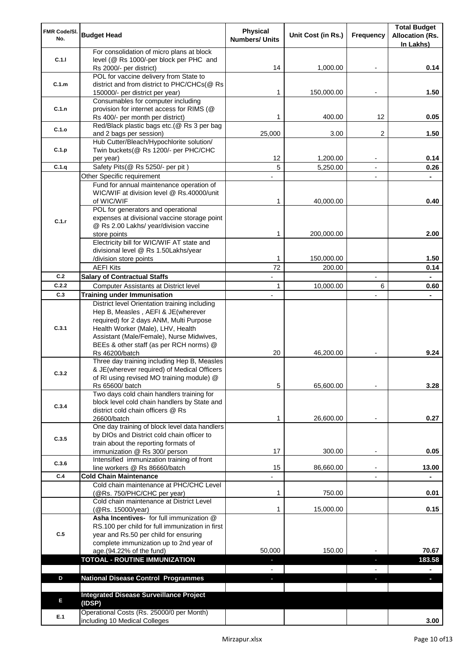| FMR Code/SI.<br>No. | <b>Budget Head</b>                                                                 | Physical<br><b>Numbers/ Units</b> | Unit Cost (in Rs.) | Frequency      | <b>Total Budget</b><br><b>Allocation (Rs.</b> |
|---------------------|------------------------------------------------------------------------------------|-----------------------------------|--------------------|----------------|-----------------------------------------------|
|                     |                                                                                    |                                   |                    |                | In Lakhs)                                     |
|                     | For consolidation of micro plans at block                                          |                                   |                    |                |                                               |
| C.1.1               | level (@ Rs 1000/-per block per PHC and<br>Rs 2000/- per district)                 | 14                                | 1,000.00           |                | 0.14                                          |
|                     | POL for vaccine delivery from State to                                             |                                   |                    |                |                                               |
| C.1.m               | district and from district to PHC/CHCs(@ Rs                                        |                                   |                    |                |                                               |
|                     | 150000/- per district per year)                                                    | 1                                 | 150,000.00         |                | 1.50                                          |
|                     | Consumables for computer including                                                 |                                   |                    |                |                                               |
| C.1.n               | provision for internet access for RIMS (@                                          | 1                                 |                    | 12             |                                               |
|                     | Rs 400/- per month per district)<br>Red/Black plastic bags etc.(@ Rs 3 per bag     |                                   | 400.00             |                | 0.05                                          |
| C.1.o               | and 2 bags per session)                                                            | 25,000                            | 3.00               | 2              | 1.50                                          |
|                     | Hub Cutter/Bleach/Hypochlorite solution/                                           |                                   |                    |                |                                               |
| C.1.p               | Twin buckets(@ Rs 1200/- per PHC/CHC                                               |                                   |                    |                |                                               |
|                     | per year)                                                                          | 12                                | 1,200.00           |                | 0.14                                          |
| C.1.q               | Safety Pits(@ Rs 5250/- per pit)                                                   | 5                                 | 5,250.00           | $\overline{a}$ | 0.26                                          |
|                     | Other Specific requirement<br>Fund for annual maintenance operation of             |                                   |                    |                |                                               |
|                     | WIC/WIF at division level @ Rs.40000/unit                                          |                                   |                    |                |                                               |
|                     | of WIC/WIF                                                                         | 1                                 | 40,000.00          |                | 0.40                                          |
|                     | POL for generators and operational                                                 |                                   |                    |                |                                               |
| C.1.r               | expenses at divisional vaccine storage point                                       |                                   |                    |                |                                               |
|                     | @ Rs 2.00 Lakhs/ year/division vaccine                                             |                                   |                    |                |                                               |
|                     | store points<br>Electricity bill for WIC/WIF AT state and                          | 1                                 | 200,000.00         |                | 2.00                                          |
|                     | divisional level @ Rs 1.50Lakhs/year                                               |                                   |                    |                |                                               |
|                     | /division store points                                                             | 1                                 | 150,000.00         |                | 1.50                                          |
|                     | <b>AEFI Kits</b>                                                                   | 72                                | 200.00             |                | 0.14                                          |
| C.2                 | <b>Salary of Contractual Staffs</b>                                                |                                   |                    |                |                                               |
| C.2.2               | Computer Assistants at District level                                              | 1                                 | 10,000.00          | 6              | 0.60                                          |
| C.3                 | <b>Training under Immunisation</b>                                                 |                                   |                    |                |                                               |
|                     | District level Orientation training including                                      |                                   |                    |                |                                               |
|                     | Hep B, Measles, AEFI & JE(wherever                                                 |                                   |                    |                |                                               |
|                     | required) for 2 days ANM, Multi Purpose                                            |                                   |                    |                |                                               |
| C.3.1               | Health Worker (Male), LHV, Health<br>Assistant (Male/Female), Nurse Midwives,      |                                   |                    |                |                                               |
|                     | BEEs & other staff (as per RCH norms) @                                            |                                   |                    |                |                                               |
|                     | Rs 46200/batch                                                                     | 20                                | 46,200.00          |                | 9.24                                          |
|                     | Three day training including Hep B, Measles                                        |                                   |                    |                |                                               |
| C.3.2               | & JE(wherever required) of Medical Officers                                        |                                   |                    |                |                                               |
|                     | of RI using revised MO training module) @                                          | 5                                 | 65,600.00          |                | 3.28                                          |
|                     | Rs 65600/ batch<br>Two days cold chain handlers training for                       |                                   |                    |                |                                               |
|                     | block level cold chain handlers by State and                                       |                                   |                    |                |                                               |
| C.3.4               | district cold chain officers @ Rs                                                  |                                   |                    |                |                                               |
|                     | 26600/batch                                                                        | 1                                 | 26,600.00          |                | 0.27                                          |
|                     | One day training of block level data handlers                                      |                                   |                    |                |                                               |
| C.3.5               | by DIOs and District cold chain officer to<br>train about the reporting formats of |                                   |                    |                |                                               |
|                     | immunization @ Rs 300/ person                                                      | 17                                | 300.00             |                | 0.05                                          |
|                     | Intensified immunization training of front                                         |                                   |                    |                |                                               |
| C.3.6               | line workers @ Rs 86660/batch                                                      | 15                                | 86,660.00          |                | 13.00                                         |
| C.4                 | <b>Cold Chain Maintenance</b>                                                      |                                   |                    |                |                                               |
|                     | Cold chain maintenance at PHC/CHC Level                                            |                                   |                    |                |                                               |
|                     | (@Rs. 750/PHC/CHC per year)<br>Cold chain maintenance at District Level            | 1                                 | 750.00             |                | 0.01                                          |
|                     | (@Rs. 15000/year)                                                                  | 1                                 | 15,000.00          |                | 0.15                                          |
|                     | Asha Incentives- for full immunization @                                           |                                   |                    |                |                                               |
|                     | RS.100 per child for full immunization in first                                    |                                   |                    |                |                                               |
| C.5                 | year and Rs.50 per child for ensuring                                              |                                   |                    |                |                                               |
|                     | complete immunization up to 2nd year of                                            |                                   |                    |                |                                               |
|                     | age.(94.22% of the fund)                                                           | 50,000                            | 150.00             |                | 70.67                                         |
|                     | <b>TOTOAL - ROUTINE IMMUNIZATION</b>                                               | $\blacksquare$                    |                    | ٠              | 183.58                                        |
| D                   | <b>National Disease Control Programmes</b>                                         |                                   |                    |                | ÷.                                            |
|                     |                                                                                    | ٠                                 |                    | ÷.             |                                               |
|                     | <b>Integrated Disease Surveillance Project</b>                                     |                                   |                    |                |                                               |
| E                   | (IDSP)                                                                             |                                   |                    |                |                                               |
|                     | Operational Costs (Rs. 25000/0 per Month)                                          |                                   |                    |                |                                               |
| E.1                 | including 10 Medical Colleges                                                      |                                   |                    |                | 3.00                                          |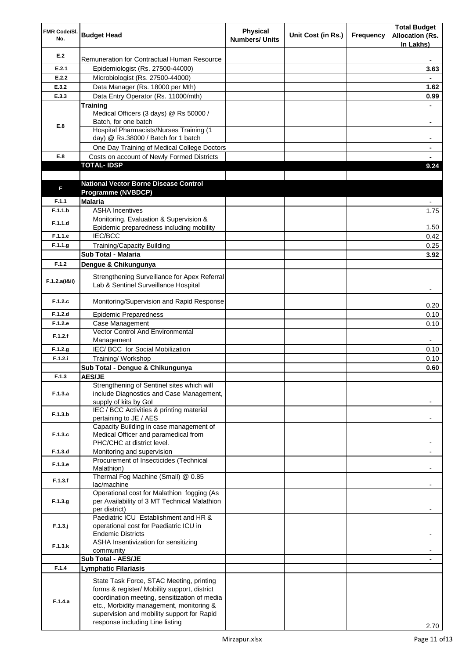| FMR Code/SI.<br>No. | <b>Budget Head</b>                                                                                                                                                                                                                                                    | <b>Physical</b><br><b>Numbers/ Units</b> | Unit Cost (in Rs.) | Frequency | <b>Total Budget</b><br><b>Allocation (Rs.</b><br>In Lakhs) |
|---------------------|-----------------------------------------------------------------------------------------------------------------------------------------------------------------------------------------------------------------------------------------------------------------------|------------------------------------------|--------------------|-----------|------------------------------------------------------------|
| E.2                 | Remuneration for Contractual Human Resource                                                                                                                                                                                                                           |                                          |                    |           |                                                            |
| E.2.1               | Epidemiologist (Rs. 27500-44000)                                                                                                                                                                                                                                      |                                          |                    |           | 3.63                                                       |
| E.2.2               | Microbiologist (Rs. 27500-44000)                                                                                                                                                                                                                                      |                                          |                    |           |                                                            |
| E.3.2               | Data Manager (Rs. 18000 per Mth)                                                                                                                                                                                                                                      |                                          |                    |           | 1.62                                                       |
| E.3.3               | Data Entry Operator (Rs. 11000/mth)                                                                                                                                                                                                                                   |                                          |                    |           | 0.99                                                       |
|                     | Training                                                                                                                                                                                                                                                              |                                          |                    |           |                                                            |
|                     | Medical Officers (3 days) @ Rs 50000 /<br>Batch, for one batch                                                                                                                                                                                                        |                                          |                    |           |                                                            |
| E.8                 | <b>Hospital Pharmacists/Nurses Training (1)</b>                                                                                                                                                                                                                       |                                          |                    |           | ۰                                                          |
|                     | day) @ Rs.38000 / Batch for 1 batch                                                                                                                                                                                                                                   |                                          |                    |           |                                                            |
|                     | One Day Training of Medical College Doctors                                                                                                                                                                                                                           |                                          |                    |           | ۰                                                          |
| E.8                 | Costs on account of Newly Formed Districts                                                                                                                                                                                                                            |                                          |                    |           |                                                            |
|                     | <b>TOTAL-IDSP</b>                                                                                                                                                                                                                                                     |                                          |                    |           | 9.24                                                       |
|                     |                                                                                                                                                                                                                                                                       |                                          |                    |           |                                                            |
| F                   | <b>National Vector Borne Disease Control</b>                                                                                                                                                                                                                          |                                          |                    |           |                                                            |
|                     | Programme (NVBDCP)                                                                                                                                                                                                                                                    |                                          |                    |           |                                                            |
| F.1.1               | <b>Malaria</b>                                                                                                                                                                                                                                                        |                                          |                    |           |                                                            |
| F.1.1.b             | <b>ASHA Incentives</b>                                                                                                                                                                                                                                                |                                          |                    |           | 1.75                                                       |
| F.1.1.d             | Monitoring, Evaluation & Supervision &<br>Epidemic preparedness including mobility                                                                                                                                                                                    |                                          |                    |           | 1.50                                                       |
| F.1.1.e             | <b>IEC/BCC</b>                                                                                                                                                                                                                                                        |                                          |                    |           | 0.42                                                       |
| F.1.1.g             | <b>Training/Capacity Building</b>                                                                                                                                                                                                                                     |                                          |                    |           | 0.25                                                       |
|                     | <b>Sub Total - Malaria</b>                                                                                                                                                                                                                                            |                                          |                    |           | 3.92                                                       |
| F.1.2               | Dengue & Chikungunya                                                                                                                                                                                                                                                  |                                          |                    |           |                                                            |
|                     |                                                                                                                                                                                                                                                                       |                                          |                    |           |                                                            |
| F.1.2.a(iⅈ)         | Strengthening Surveillance for Apex Referral<br>Lab & Sentinel Surveillance Hospital                                                                                                                                                                                  |                                          |                    |           |                                                            |
| F.1.2.c             | Monitoring/Supervision and Rapid Response                                                                                                                                                                                                                             |                                          |                    |           | 0.20                                                       |
| F.1.2.d             | <b>Epidemic Preparedness</b>                                                                                                                                                                                                                                          |                                          |                    |           | 0.10                                                       |
| F.1.2.e             | Case Management                                                                                                                                                                                                                                                       |                                          |                    |           | 0.10                                                       |
| F.1.2.f             | Vector Control And Environmental                                                                                                                                                                                                                                      |                                          |                    |           |                                                            |
|                     | Management                                                                                                                                                                                                                                                            |                                          |                    |           |                                                            |
| F.1.2.g             | IEC/ BCC for Social Mobilization                                                                                                                                                                                                                                      |                                          |                    |           | 0.10                                                       |
| F.1.2.i             | Training/ Workshop<br>Sub Total - Dengue & Chikungunya                                                                                                                                                                                                                |                                          |                    |           | 0.10                                                       |
| F.1.3               | <b>AES/JE</b>                                                                                                                                                                                                                                                         |                                          |                    |           | 0.60                                                       |
|                     | Strengthening of Sentinel sites which will                                                                                                                                                                                                                            |                                          |                    |           |                                                            |
| F.1.3.a             | include Diagnostics and Case Management,<br>supply of kits by Gol                                                                                                                                                                                                     |                                          |                    |           |                                                            |
| F.1.3.b             | IEC / BCC Activities & printing material<br>pertaining to JE / AES                                                                                                                                                                                                    |                                          |                    |           |                                                            |
|                     | Capacity Building in case management of                                                                                                                                                                                                                               |                                          |                    |           |                                                            |
| F.1.3.c             | Medical Officer and paramedical from                                                                                                                                                                                                                                  |                                          |                    |           |                                                            |
|                     | PHC/CHC at district level.                                                                                                                                                                                                                                            |                                          |                    |           |                                                            |
| F.1.3.d             | Monitoring and supervision<br>Procurement of Insecticides (Technical                                                                                                                                                                                                  |                                          |                    |           | $\blacksquare$                                             |
| F.1.3.e             | Malathion)<br>Thermal Fog Machine (Small) @ 0.85                                                                                                                                                                                                                      |                                          |                    |           |                                                            |
| F.1.3.f             | lac/machine                                                                                                                                                                                                                                                           |                                          |                    |           |                                                            |
| F.1.3.g             | Operational cost for Malathion fogging (As<br>per Availability of 3 MT Technical Malathion<br>per district)                                                                                                                                                           |                                          |                    |           |                                                            |
| $F.1.3.$ j          | Paediatric ICU Establishment and HR &<br>operational cost for Paediatric ICU in                                                                                                                                                                                       |                                          |                    |           |                                                            |
| F.1.3.k             | <b>Endemic Districts</b><br>ASHA Insentivization for sensitizing                                                                                                                                                                                                      |                                          |                    |           |                                                            |
|                     | community                                                                                                                                                                                                                                                             |                                          |                    |           |                                                            |
|                     | Sub Total - AES/JE                                                                                                                                                                                                                                                    |                                          |                    |           |                                                            |
| F.1.4               | <b>Lymphatic Filariasis</b>                                                                                                                                                                                                                                           |                                          |                    |           |                                                            |
| F.1.4.a             | State Task Force, STAC Meeting, printing<br>forms & register/ Mobility support, district<br>coordination meeting, sensitization of media<br>etc., Morbidity management, monitoring &<br>supervision and mobility support for Rapid<br>response including Line listing |                                          |                    |           |                                                            |
|                     |                                                                                                                                                                                                                                                                       |                                          |                    |           | 2.70                                                       |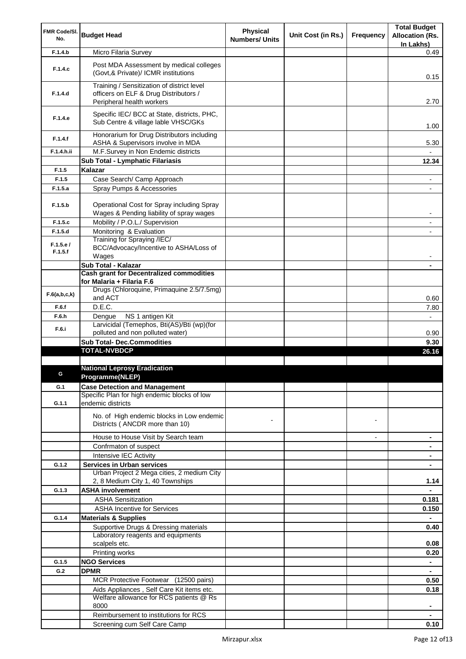| FMR Code/SI.        |                                                                                        | Physical              |                    |                | <b>Total Budget</b>                 |
|---------------------|----------------------------------------------------------------------------------------|-----------------------|--------------------|----------------|-------------------------------------|
| No.                 | <b>Budget Head</b>                                                                     | <b>Numbers/ Units</b> | Unit Cost (in Rs.) | Frequency      | <b>Allocation (Rs.</b><br>In Lakhs) |
| F.1.4.b             | Micro Filaria Survey                                                                   |                       |                    |                | 0.49                                |
|                     |                                                                                        |                       |                    |                |                                     |
| F.1.4.c             | Post MDA Assessment by medical colleges<br>(Govt, & Private)/ ICMR institutions        |                       |                    |                | 0.15                                |
| F.1.4.d             | Training / Sensitization of district level<br>officers on ELF & Drug Distributors /    |                       |                    |                |                                     |
|                     | Peripheral health workers                                                              |                       |                    |                | 2.70                                |
|                     | Specific IEC/ BCC at State, districts, PHC,                                            |                       |                    |                |                                     |
| F.1.4.e             | Sub Centre & village lable VHSC/GKs                                                    |                       |                    |                | 1.00                                |
| F.1.4.f             | Honorarium for Drug Distributors including<br>ASHA & Supervisors involve in MDA        |                       |                    |                | 5.30                                |
| F.1.4.h.ii          | M.F.Survey in Non Endemic districts                                                    |                       |                    |                |                                     |
|                     | Sub Total - Lymphatic Filariasis                                                       |                       |                    |                | 12.34                               |
| F.1.5               | Kalazar                                                                                |                       |                    |                |                                     |
| F.1.5               | Case Search/ Camp Approach                                                             |                       |                    |                | ۰                                   |
| F.1.5.a             | Spray Pumps & Accessories                                                              |                       |                    |                |                                     |
|                     |                                                                                        |                       |                    |                |                                     |
| F.1.5.b             | Operational Cost for Spray including Spray<br>Wages & Pending liability of spray wages |                       |                    |                | -                                   |
| F.1.5.c             | Mobility / P.O.L./ Supervision                                                         |                       |                    |                | ٠                                   |
| F.1.5.d             | Monitoring & Evaluation                                                                |                       |                    |                |                                     |
|                     | Training for Spraying /IEC/                                                            |                       |                    |                |                                     |
| F.1.5.e/<br>F.1.5.f | BCC/Advocacy/Incentive to ASHA/Loss of<br>Wages                                        |                       |                    |                |                                     |
|                     | Sub Total - Kalazar                                                                    |                       |                    |                |                                     |
|                     | <b>Cash grant for Decentralized commodities</b>                                        |                       |                    |                |                                     |
|                     | for Malaria + Filaria F.6                                                              |                       |                    |                |                                     |
| F.6(a,b,c,k)        | Drugs (Chloroquine, Primaquine 2.5/7.5mg)<br>and ACT                                   |                       |                    |                | 0.60                                |
| F.6.f               | D.E.C.                                                                                 |                       |                    |                | 7.80                                |
| F.6.h               | NS 1 antigen Kit<br>Dengue                                                             |                       |                    |                | $\overline{\phantom{0}}$            |
| F.6.i               | Larvicidal (Temephos, Bti(AS)/Bti (wp)(for                                             |                       |                    |                |                                     |
|                     | polluted and non polluted water)                                                       |                       |                    |                | 0.90                                |
|                     | <b>Sub Total- Dec.Commodities</b>                                                      |                       |                    |                | 9.30                                |
|                     | <b>TOTAL-NVBDCP</b>                                                                    |                       |                    |                | 26.16                               |
|                     | <b>National Leprosy Eradication</b>                                                    |                       |                    |                |                                     |
|                     | Programme(NLEP)                                                                        |                       |                    |                |                                     |
| G.1                 | <b>Case Detection and Management</b>                                                   |                       |                    |                |                                     |
|                     | Specific Plan for high endemic blocks of low                                           |                       |                    |                |                                     |
| G.1.1               | endemic districts                                                                      |                       |                    |                |                                     |
|                     | No. of High endemic blocks in Low endemic                                              |                       |                    |                |                                     |
|                     | Districts (ANCDR more than 10)                                                         |                       |                    | $\blacksquare$ |                                     |
|                     | House to House Visit by Search team                                                    |                       |                    | $\overline{a}$ | ۰                                   |
|                     | Confrmaton of suspect                                                                  |                       |                    |                |                                     |
|                     | Intensive IEC Activity                                                                 |                       |                    |                |                                     |
| G.1.2               | <b>Services in Urban services</b>                                                      |                       |                    |                |                                     |
|                     | Urban Project 2 Mega cities, 2 medium City                                             |                       |                    |                |                                     |
|                     | 2, 8 Medium City 1, 40 Townships                                                       |                       |                    |                | 1.14                                |
| G.1.3               | <b>ASHA involvement</b>                                                                |                       |                    |                | $\blacksquare$                      |
|                     | <b>ASHA Sensitization</b>                                                              |                       |                    |                | 0.181                               |
|                     | <b>ASHA Incentive for Services</b>                                                     |                       |                    |                | 0.150                               |
| G.1.4               | <b>Materials &amp; Supplies</b>                                                        |                       |                    |                | ۰                                   |
|                     | Supportive Drugs & Dressing materials                                                  |                       |                    |                | 0.40                                |
|                     | Laboratory reagents and equipments<br>scalpels etc.                                    |                       |                    |                | 0.08                                |
|                     | Printing works                                                                         |                       |                    |                | 0.20                                |
| G.1.5               | <b>NGO Services</b>                                                                    |                       |                    |                | $\blacksquare$                      |
| G.2                 | <b>DPMR</b>                                                                            |                       |                    |                |                                     |
|                     | MCR Protective Footwear (12500 pairs)                                                  |                       |                    |                | 0.50                                |
|                     | Aids Appliances, Self Care Kit items etc.                                              |                       |                    |                | 0.18                                |
|                     | Welfare allowance for RCS patients @ Rs                                                |                       |                    |                |                                     |
|                     | 8000                                                                                   |                       |                    |                | ۰                                   |
|                     | Reimbursement to institutions for RCS                                                  |                       |                    |                |                                     |
|                     | Screening cum Self Care Camp                                                           |                       |                    |                | 0.10                                |